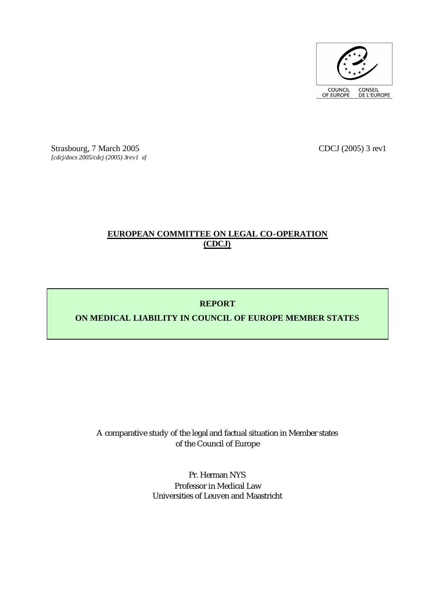

Strasbourg, 7 March 2005 CDCJ (2005) 3 rev1 *[cdcj/docs 2005/cdcj (2005) 3rev1 e]*

# **EUROPEAN COMMITTEE ON LEGAL CO-OPERATION (CDCJ)**

# **REPORT**

# **ON MEDICAL LIABILITY IN COUNCIL OF EUROPE MEMBER STATES**

A comparative study of the legal and factual situation in Member states of the Council of Europe

> Pr. Herman NYS Professor in Medical Law Universities of Leuven and Maastricht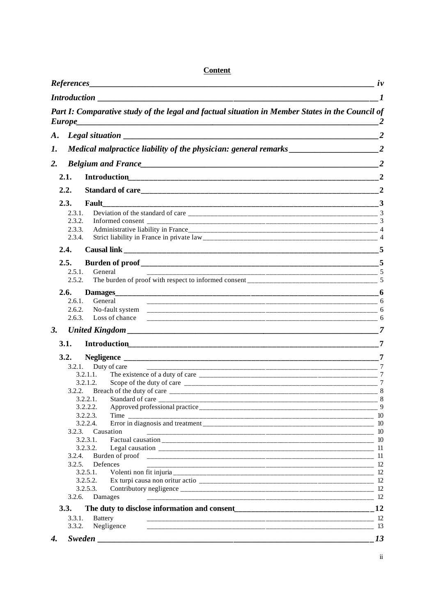|    | References_      |                                                                                                 | $\mu$          |
|----|------------------|-------------------------------------------------------------------------------------------------|----------------|
|    |                  |                                                                                                 | -1             |
|    | Europe_          | Part I: Comparative study of the legal and factual situation in Member States in the Council of |                |
| A. |                  |                                                                                                 |                |
| 1. |                  | Medical malpractice liability of the physician: general remarks ____________________________2   |                |
|    |                  |                                                                                                 | $\overline{2}$ |
| 2. |                  |                                                                                                 |                |
|    | 2.1.             |                                                                                                 | $\overline{2}$ |
|    | 2.2.             |                                                                                                 |                |
|    | 2.3.             | Fault                                                                                           |                |
|    | 2.3.1.           |                                                                                                 |                |
|    | 2.3.2.<br>2.3.3. |                                                                                                 |                |
|    | 2.3.4.           |                                                                                                 |                |
|    | 2.4.             |                                                                                                 |                |
|    | 2.5.             |                                                                                                 |                |
|    | 2.5.1            | General                                                                                         |                |
|    | 2.5.2.           |                                                                                                 |                |
|    | 2.6.             |                                                                                                 |                |
|    | 2.6.1.           | General                                                                                         |                |
|    | 2.6.2.           |                                                                                                 |                |
|    | 2.6.3.           | Loss of chance                                                                                  |                |
| 3. |                  |                                                                                                 |                |
|    | 3.1.             |                                                                                                 | $\overline{7}$ |
|    | 3.2.             |                                                                                                 |                |
|    | 3.2.1.           | Duty of care                                                                                    |                |
|    |                  | 3.2.1.1.                                                                                        | $\tau$         |
|    |                  | 3.2.1.2.                                                                                        |                |
|    |                  |                                                                                                 |                |
|    |                  | $3.2.2.1.$ Standard of care<br>3.2.2.2.                                                         | 8              |
|    |                  | Time<br>3.2.2.3.                                                                                |                |
|    |                  | 3.2.2.4.                                                                                        |                |
|    |                  | 3.2.3. Causation                                                                                |                |
|    |                  | 3.2.3.1.                                                                                        |                |
|    |                  | 3.2.3.2.                                                                                        |                |
|    | 3.2.4.           |                                                                                                 |                |
|    | 3.2.5.           | Defences<br>3.2.5.1.                                                                            |                |
|    |                  | 3.2.5.2.                                                                                        |                |
|    |                  | 3.2.5.3.                                                                                        |                |
|    | 3.2.6.           | Damages                                                                                         |                |
|    | 3.3.             |                                                                                                 |                |
|    | 3.3.1.           | <b>Battery</b>                                                                                  |                |
|    | 3.3.2.           | Negligence                                                                                      | 13             |
| 4. |                  |                                                                                                 | 13             |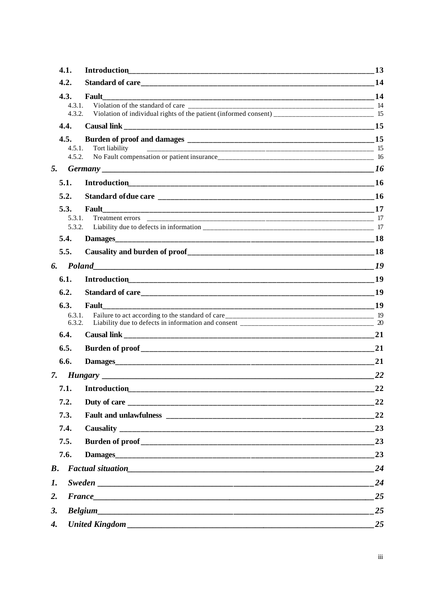|                    | 4.1.             | <b>Introduction</b> | 13 |
|--------------------|------------------|---------------------|----|
|                    | 4.2.             |                     | 14 |
|                    | 4.3.             | Fault               |    |
|                    | 4.3.1.<br>4.3.2. |                     |    |
|                    |                  |                     |    |
|                    | 4.4.             |                     |    |
|                    | 4.5.<br>4.5.1.   | Tort liability      |    |
|                    | 4.5.2.           |                     |    |
| 5.                 |                  |                     | 16 |
|                    | 5.1.             |                     |    |
|                    | 5.2.             |                     |    |
|                    | 5.3.             | Fault               |    |
|                    | 5.3.1.           |                     |    |
|                    | 5.3.2.<br>5.4.   |                     |    |
|                    |                  |                     |    |
|                    | 5.5.             |                     |    |
| 6.                 |                  |                     | 19 |
|                    | 6.1.             |                     |    |
|                    | 6.2.             |                     | 19 |
|                    | 6.3.             | Fault               |    |
|                    | 6.3.1.<br>6.3.2. |                     |    |
|                    | 6.4.             |                     | 21 |
|                    | 6.5.             |                     | 21 |
|                    | 6.6.             |                     | 21 |
| 7.                 |                  |                     | 22 |
|                    | 7.1.             |                     | 22 |
|                    | 7.2.             |                     | 22 |
|                    | 7.3.             |                     | 22 |
|                    | 7.4.             |                     | 23 |
|                    |                  |                     |    |
|                    | 7.5.             |                     | 23 |
|                    | 7.6.             |                     | 23 |
| $\boldsymbol{B}$ . |                  |                     | 24 |
| 1.                 |                  |                     | 24 |
| 2.                 |                  | France              | 25 |
| 3.                 |                  |                     | 25 |
| 4.                 |                  |                     | 25 |
|                    |                  |                     |    |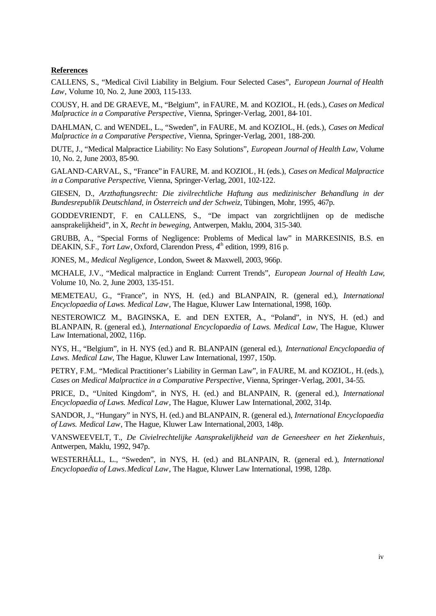## **References**

CALLENS, S., "Medical Civil Liability in Belgium. Four Selected Cases", *European Journal of Health Law*, Volume 10, No. 2, June 2003, 115-133.

COUSY, H. and DE GRAEVE, M., "Belgium", in FAURE, M. and KOZIOL, H. (eds.), *Cases on Medical Malpractice in a Comparative Perspective*, Vienna, Springer-Verlag, 2001, 84-101.

DAHLMAN, C. and WENDEL, L., "Sweden", in FAURE, M. and KOZIOL, H. (eds.), *Cases on Medical Malpractice in a Comparative Perspective*, Vienna, Springer-Verlag, 2001, 188-200.

DUTE, J., "Medical Malpractice Liability: No Easy Solutions", *European Journal of Health Law*, Volume 10, No. 2, June 2003, 85-90.

GALAND-CARVAL, S., "France" in FAURE, M. and KOZIOL, H. (eds.), *Cases on Medical Malpractice in a Comparative Perspective*, Vienna, Springer-Verlag, 2001, 102-122.

GIESEN, D., *Arzthaftungsrecht: Die zivilrechtliche Haftung aus medizinischer Behandlung in der Bundesrepublik Deutschland, in Österreich und der Schweiz*, Tübingen, Mohr, 1995, 467p.

GODDEVRIENDT, F. en CALLENS, S., "De impact van zorgrichtlijnen op de medische aansprakelijkheid", in X, *Recht in beweging*, Antwerpen, Maklu, 2004, 315-340.

GRUBB, A., "Special Forms of Negligence: Problems of Medical law" in MARKESINIS, B.S. en DEAKIN, S.F., *Tort Law*, Oxford, Clarendon Press, 4<sup>th</sup> edition, 1999, 816 p.

JONES, M., *Medical Negligence*, London, Sweet & Maxwell, 2003, 966p.

MCHALE, J.V., "Medical malpractice in England: Current Trends", *European Journal of Health Law*, Volume 10, No. 2, June 2003, 135-151.

MEMETEAU, G., "France", in NYS, H. (ed.) and BLANPAIN, R. (general ed.), *International Encyclopaedia of Laws. Medical Law*, The Hague, Kluwer Law International, 1998, 160p.

NESTEROWICZ M., BAGINSKA, E. and DEN EXTER, A., "Poland", in NYS, H. (ed.) and BLANPAIN, R. (general ed.), *International Encyclopaedia of Laws. Medical Law*, The Hague, Kluwer Law International, 2002, 116p.

NYS, H., "Belgium", in H. NYS (ed.) and R. BLANPAIN (general ed.), *International Encyclopaedia of Laws. Medical Law*, The Hague, Kluwer Law International, 1997, 150p.

PETRY, F.M,. "Medical Practitioner's Liability in German Law", in FAURE, M. and KOZIOL, H. (eds.), *Cases on Medical Malpractice in a Comparative Perspective*, Vienna, Springer-Verlag, 2001, 34-55.

PRICE, D., "United Kingdom", in NYS, H. (ed.) and BLANPAIN, R. (general ed.), *International Encyclopaedia of Laws. Medical Law*, The Hague, Kluwer Law International, 2002, 314p.

SANDOR, J., "Hungary" in NYS, H. (ed.) and BLANPAIN, R. (general ed.), *International Encyclopaedia of Laws. Medical Law*, The Hague, Kluwer Law International, 2003, 148p.

VANSWEEVELT, T., *De Civielrechtelijke Aansprakelijkheid van de Geneesheer en het Ziekenhuis*, Antwerpen, Maklu, 1992, 947p.

WESTERHÄLL, L., "Sweden", in NYS, H. (ed.) and BLANPAIN, R. (general ed.), *International Encyclopaedia of Laws*. *Medical Law*, The Hague, Kluwer Law International, 1998, 128p.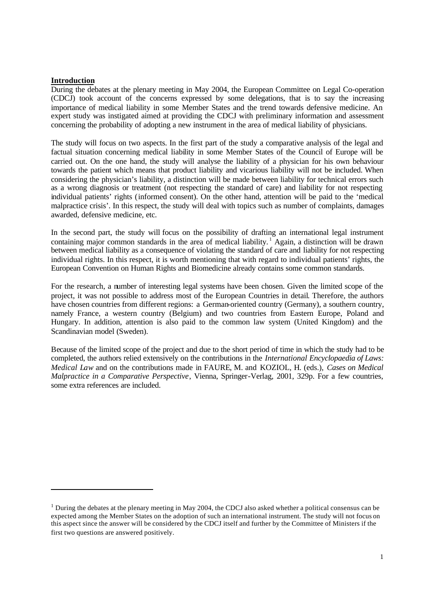## **Introduction**

l

During the debates at the plenary meeting in May 2004, the European Committee on Legal Co-operation (CDCJ) took account of the concerns expressed by some delegations, that is to say the increasing importance of medical liability in some Member States and the trend towards defensive medicine. An expert study was instigated aimed at providing the CDCJ with preliminary information and assessment concerning the probability of adopting a new instrument in the area of medical liability of physicians.

The study will focus on two aspects. In the first part of the study a comparative analysis of the legal and factual situation concerning medical liability in some Member States of the Council of Europe will be carried out. On the one hand, the study will analyse the liability of a physician for his own behaviour towards the patient which means that product liability and vicarious liability will not be included. When considering the physician's liability, a distinction will be made between liability for technical errors such as a wrong diagnosis or treatment (not respecting the standard of care) and liability for not respecting individual patients' rights (informed consent). On the other hand, attention will be paid to the 'medical malpractice crisis'. In this respect, the study will deal with topics such as number of complaints, damages awarded, defensive medicine, etc.

In the second part, the study will focus on the possibility of drafting an international legal instrument containing major common standards in the area of medical liability.<sup>1</sup> Again, a distinction will be drawn between medical liability as a consequence of violating the standard of care and liability for not respecting individual rights. In this respect, it is worth mentioning that with regard to individual patients' rights, the European Convention on Human Rights and Biomedicine already contains some common standards.

For the research, a number of interesting legal systems have been chosen. Given the limited scope of the project, it was not possible to address most of the European Countries in detail. Therefore, the authors have chosen countries from different regions: a German-oriented country (Germany), a southern country, namely France, a western country (Belgium) and two countries from Eastern Europe, Poland and Hungary. In addition, attention is also paid to the common law system (United Kingdom) and the Scandinavian model (Sweden).

Because of the limited scope of the project and due to the short period of time in which the study had to be completed, the authors relied extensively on the contributions in the *International Encyclopaedia of Laws: Medical Law* and on the contributions made in FAURE, M. and KOZIOL, H. (eds.), *Cases on Medical Malpractice in a Comparative Perspective*, Vienna, Springer-Verlag, 2001, 329p. For a few countries, some extra references are included.

 $<sup>1</sup>$  During the debates at the plenary meeting in May 2004, the CDCJ also asked whether a political consensus can be</sup> expected among the Member States on the adoption of such an international instrument. The study will not focus on this aspect since the answer will be considered by the CDCJ itself and further by the Committee of Ministers if the first two questions are answered positively.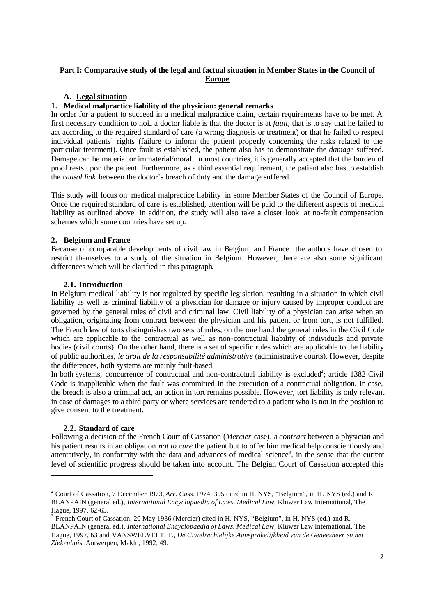# **Part I: Comparative study of the legal and factual situation in Member States in the Council of Europe**

# **A. Legal situation**

# **1. Medical malpractice liability of the physician: general remarks**

In order for a patient to succeed in a medical malpractice claim, certain requirements have to be met. A first necessary condition to hold a doctor liable is that the doctor is at *fault*, that is to say that he failed to act according to the required standard of care (a wrong diagnosis or treatment) or that he failed to respect individual patients' rights (failure to inform the patient properly concerning the risks related to the particular treatment). Once fault is established, the patient also has to demonstrate the *damage* suffered. Damage can be material or immaterial/moral. In most countries, it is generally accepted that the burden of proof rests upon the patient. Furthermore, as a third essential requirement, the patient also has to establish the *causal link* between the doctor's breach of duty and the damage suffered.

This study will focus on medical malpractice liability in some Member States of the Council of Europe. Once the required standard of care is established, attention will be paid to the different aspects of medical liability as outlined above. In addition, the study will also take a closer look at no-fault compensation schemes which some countries have set up.

# **2. Belgium and France**

Because of comparable developments of civil law in Belgium and France the authors have chosen to restrict themselves to a study of the situation in Belgium. However, there are also some significant differences which will be clarified in this paragraph.

# **2.1. Introduction**

In Belgium medical liability is not regulated by specific legislation, resulting in a situation in which civil liability as well as criminal liability of a physician for damage or injury caused by improper conduct are governed by the general rules of civil and criminal law. Civil liability of a physician can arise when an obligation, originating from contract between the physician and his patient or from tort, is not fulfilled. The French law of torts distinguishes two sets of rules, on the one hand the general rules in the Civil Code which are applicable to the contractual as well as non-contractual liability of individuals and private bodies (civil courts). On the other hand, there is a set of specific rules which are applicable to the liability of public authorities, *le droit de la responsabilité administrative* (administrative courts). However, despite the differences, both systems are mainly fault-based.

In both systems, concurrence of contractual and non-contractual liability is excluded<sup>2</sup>; article 1382 Civil Code is inapplicable when the fault was committed in the execution of a contractual obligation. In case, the breach is also a criminal act, an action in tort remains possible. However, tort liability is only relevant in case of damages to a third party or where services are rendered to a patient who is not in the position to give consent to the treatment.

# **2.2. Standard of care**

Following a decision of the French Court of Cassation (*Mercier* case), a *contract* between a physician and his patient results in an obligation *not to cure* the patient but to offer him medical help conscientiously and attentatively, in conformity with the data and advances of medical science<sup>3</sup>, in the sense that the current level of scientific progress should be taken into account. The Belgian Court of Cassation accepted this

<sup>2</sup> Court of Cassation, 7 December 1973, *Arr. Cass*. 1974, 395 cited in H. NYS, "Belgium", in H. NYS (ed.) and R. BLANPAIN (general ed.), *International Encyclopaedia of Laws. Medical Law*, Kluwer Law International, The Hague, 1997, 62-63.

<sup>&</sup>lt;sup>3</sup> French Court of Cassation, 20 May 1936 (Mercier) cited in H. NYS, "Belgium", in H. NYS (ed.) and R. BLANPAIN (general ed.), *International Encyclopaedia of Laws. Medical Law*, Kluwer Law International, The Hague, 1997, 63 and VANSWEEVELT, T., *De Civielrechtelijke Aansprakelijkheid van de Geneesheer en het Ziekenhuis*, Antwerpen, Maklu, 1992, 49.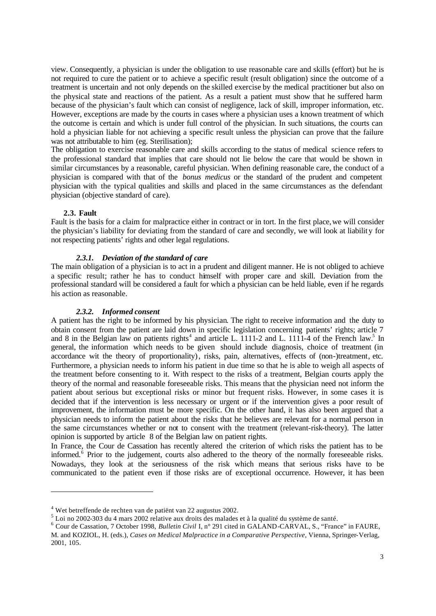view. Consequently, a physician is under the obligation to use reasonable care and skills (effort) but he is not required to cure the patient or to achieve a specific result (result obligation) since the outcome of a treatment is uncertain and not only depends on the skilled exercise by the medical practitioner but also on the physical state and reactions of the patient. As a result a patient must show that he suffered harm because of the physician's fault which can consist of negligence, lack of skill, improper information, etc. However, exceptions are made by the courts in cases where a physician uses a known treatment of which the outcome is certain and which is under full control of the physician. In such situations, the courts can hold a physician liable for not achieving a specific result unless the physician can prove that the failure was not attributable to him (eg. Sterilisation);

The obligation to exercise reasonable care and skills according to the status of medical science refers to the professional standard that implies that care should not lie below the care that would be shown in similar circumstances by a reasonable, careful physician. When defining reasonable care, the conduct of a physician is compared with that of the *bonus medicus* or the standard of the prudent and competent physician with the typical qualities and skills and placed in the same circumstances as the defendant physician (objective standard of care).

### **2.3. Fault**

Fault is the basis for a claim for malpractice either in contract or in tort. In the first place, we will consider the physician's liability for deviating from the standard of care and secondly, we will look at liability for not respecting patients' rights and other legal regulations.

## *2.3.1. Deviation of the standard of care*

The main obligation of a physician is to act in a prudent and diligent manner. He is not obliged to achieve a specific result; rather he has to conduct himself with proper care and skill. Deviation from the professional standard will be considered a fault for which a physician can be held liable, even if he regards his action as reasonable.

#### *2.3.2. Informed consent*

A patient has the right to be informed by his physician. The right to receive information and the duty to obtain consent from the patient are laid down in specific legislation concerning patients' rights; article 7 and 8 in the Belgian law on patients rights<sup>4</sup> and article L. 1111-2 and L. 1111-4 of the French law.<sup>5</sup> In general, the information which needs to be given should include diagnosis, choice of treatment (in accordance wit the theory of proportionality), risks, pain, alternatives, effects of (non-)treatment, etc. Furthermore, a physician needs to inform his patient in due time so that he is able to weigh all aspects of the treatment before consenting to it. With respect to the risks of a treatment, Belgian courts apply the theory of the normal and reasonable foreseeable risks. This means that the physician need not inform the patient about serious but exceptional risks or minor but frequent risks. However, in some cases it is decided that if the intervention is less necessary or urgent or if the intervention gives a poor result of improvement, the information must be more specific. On the other hand, it has also been argued that a physician needs to inform the patient about the risks that he believes are relevant for a normal person in the same circumstances whether or not to consent with the treatment (relevant-risk-theory). The latter opinion is supported by article 8 of the Belgian law on patient rights.

In France, the Cour de Cassation has recently altered the criterion of which risks the patient has to be informed.<sup>6</sup> Prior to the judgement, courts also adhered to the theory of the normally foreseeable risks. Nowadays, they look at the seriousness of the risk which means that serious risks have to be communicated to the patient even if those risks are of exceptional occurrence. However, it has been

<sup>&</sup>lt;sup>4</sup> Wet betreffende de rechten van de patiënt van 22 augustus 2002.

<sup>5</sup> Loi no 2002-303 du 4 mars 2002 relative aux droits des malades et à la qualité du système de santé.

<sup>&</sup>lt;sup>6</sup> Cour de Cassation, 7 October 1998, *Bulletin Civil* I, n° 291 cited in GALAND-CARVAL, S., "France" in FAURE, M. and KOZIOL, H. (eds.), *Cases on Medical Malpractice in a Comparative Perspective*, Vienna, Springer-Verlag, 2001, 105.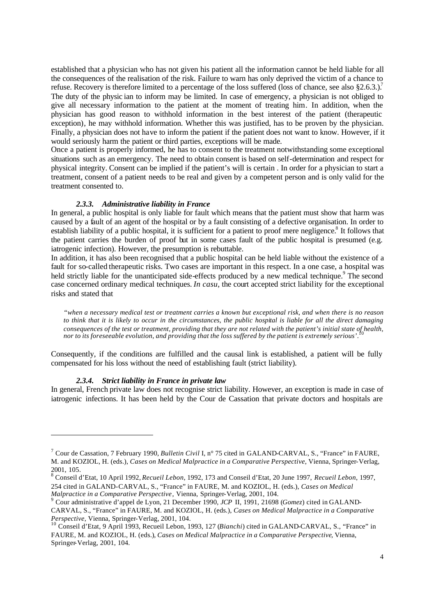established that a physician who has not given his patient all the information cannot be held liable for all the consequences of the realisation of the risk. Failure to warn has only deprived the victim of a chance to refuse. Recovery is therefore limited to a percentage of the loss suffered (loss of chance, see also  $\S 2.6.3$ .).<sup>7</sup> The duty of the physic ian to inform may be limited. In case of emergency, a physician is not obliged to give all necessary information to the patient at the moment of treating him. In addition, when the physician has good reason to withhold information in the best interest of the patient (therapeutic exception), he may withhold information. Whether this was justified, has to be proven by the physician. Finally, a physician does not have to inform the patient if the patient does not want to know. However, if it would seriously harm the patient or third parties, exceptions will be made.

Once a patient is properly informed, he has to consent to the treatment notwithstanding some exceptional situations such as an emergency. The need to obtain consent is based on self-determination and respect for physical integrity. Consent can be implied if the patient's will is certain . In order for a physician to start a treatment, consent of a patient needs to be real and given by a competent person and is only valid for the treatment consented to.

## *2.3.3. Administrative liability in France*

In general, a public hospital is only liable for fault which means that the patient must show that harm was caused by a fault of an agent of the hospital or by a fault consisting of a defective organisation. In order to establish liability of a public hospital, it is sufficient for a patient to proof mere negligence.<sup>8</sup> It follows that the patient carries the burden of proof but in some cases fault of the public hospital is presumed (e.g. iatrogenic infection). However, the presumption is rebuttable.

In addition, it has also been recognised that a public hospital can be held liable without the existence of a fault for so-called therapeutic risks. Two cases are important in this respect. In a one case, a hospital was held strictly liable for the unanticipated side-effects produced by a new medical technique.<sup>9</sup> The second case concerned ordinary medical techniques. *In casu*, the court accepted strict liability for the exceptional risks and stated that

*"when a necessary medical test or treatment carries a known but exceptional risk, and when there is no reason to think that it is likely to occur in the circumstances, the public hospital is liable for all the direct damaging consequences of the test or treatment, providing that they are not related with the patient's initial state of health,*<br>nonte its foregaseles qualition, and providing that the loss suffered by the patient is extremely ser *nor to its foreseeable evolution, and providing that the loss suffered by the patient is extremely serious'*.

Consequently, if the conditions are fulfilled and the causal link is established, a patient will be fully compensated for his loss without the need of establishing fault (strict liability).

#### *2.3.4. Strict liability in France in private law*

In general, French private law does not recognise strict liability. However, an exception is made in case of iatrogenic infections. It has been held by the Cour de Cassation that private doctors and hospitals are

<sup>7</sup> Cour de Cassation, 7 February 1990, *Bulletin Civil* I, n° 75 cited in GALAND-CARVAL, S., "France" in FAURE, M. and KOZIOL, H. (eds.), *Cases on Medical Malpractice in a Comparative Perspective*, Vienna, Springer-Verlag, 2001, 105.

<sup>8</sup> Conseil d'Etat, 10 April 1992, *Recueil Lebon*, 1992, 173 and Conseil d'Etat, 20 June 1997, *Recueil Lebon*, 1997, 254 cited in GALAND-CARVAL, S., "France" in FAURE, M. and KOZIOL, H. (eds.), *Cases on Medical Malpractice in a Comparative Perspective*, Vienna, Springer-Verlag, 2001, 104.

<sup>9</sup> Cour administrative d'appel de Lyon, 21 December 1990, *JCP* II, 1991, 21698 (*Gomez*) cited in GALAND-CARVAL, S., "France" in FAURE, M. and KOZIOL, H. (eds.), *Cases on Medical Malpractice in a Comparative Perspective*, Vienna, Springer-Verlag, 2001, 104.

<sup>10</sup> Conseil d'Etat, 9 April 1993, Recueil Lebon, 1993, 127 (*Bianchi*) cited in GALAND-CARVAL, S., "France" in FAURE, M. and KOZIOL, H. (eds.), *Cases on Medical Malpractice in a Comparative Perspective*, Vienna, Springer-Verlag, 2001, 104.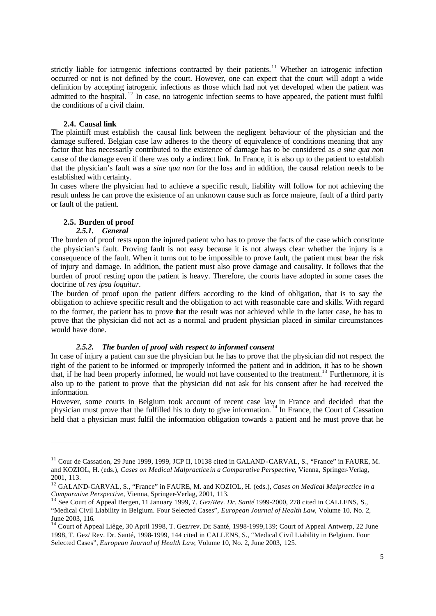strictly liable for iatrogenic infections contracted by their patients.<sup>11</sup> Whether an iatrogenic infection occurred or not is not defined by the court. However, one can expect that the court will adopt a wide definition by accepting iatrogenic infections as those which had not yet developed when the patient was admitted to the hospital. <sup>12</sup> In case, no iatrogenic infection seems to have appeared, the patient must fulfil the conditions of a civil claim.

### **2.4. Causal link**

The plaintiff must establish the causal link between the negligent behaviour of the physician and the damage suffered. Belgian case law adheres to the theory of equivalence of conditions meaning that any factor that has necessarily contributed to the existence of damage has to be considered as *a sine qua non* cause of the damage even if there was only a indirect link. In France, it is also up to the patient to establish that the physician's fault was a *sine qua non* for the loss and in addition, the causal relation needs to be established with certainty.

In cases where the physician had to achieve a specific result, liability will follow for not achieving the result unless he can prove the existence of an unknown cause such as force majeure, fault of a third party or fault of the patient.

# **2.5. Burden of proof**

# *2.5.1. General*

The burden of proof rests upon the injured patient who has to prove the facts of the case which constitute the physician's fault. Proving fault is not easy because it is not always clear whether the injury is a consequence of the fault. When it turns out to be impossible to prove fault, the patient must bear the risk of injury and damage. In addition, the patient must also prove damage and causality. It follows that the burden of proof resting upon the patient is heavy. Therefore, the courts have adopted in some cases the doctrine of *res ipsa loquitur*.

The burden of proof upon the patient differs according to the kind of obligation, that is to say the obligation to achieve specific result and the obligation to act with reasonable care and skills. With regard to the former, the patient has to prove that the result was not achieved while in the latter case, he has to prove that the physician did not act as a normal and prudent physician placed in similar circumstances would have done.

## *2.5.2. The burden of proof with respect to informed consent*

In case of injury a patient can sue the physician but he has to prove that the physician did not respect the right of the patient to be informed or improperly informed the patient and in addition, it has to be shown that, if he had been properly informed, he would not have consented to the treatment.<sup>13</sup> Furthermore, it is also up to the patient to prove that the physician did not ask for his consent after he had received the information.

However, some courts in Belgium took account of recent case law in France and decided that the physician must prove that the fulfilled his to duty to give information. <sup>14</sup> In France, the Court of Cassation held that a physician must fulfil the information obligation towards a patient and he must prove that he

<sup>&</sup>lt;sup>11</sup> Cour de Cassation, 29 June 1999, 1999, JCP II, 10138 cited in GALAND-CARVAL, S., "France" in FAURE, M. and KOZIOL, H. (eds.), *Cases on Medical Malpractice in a Comparative Perspective*, Vienna, Springer-Verlag, 2001, 113.

<sup>12</sup> GALAND-CARVAL, S., "France" in FAURE, M. and KOZIOL, H. (eds.), *Cases on Medical Malpractice in a Comparative Perspective*, Vienna, Springer-Verlag, 2001, 113.

<sup>13</sup> See Court of Appeal Bergen, 11 January 1999, *T. Gez/Rev. Dr. Santé* 1999-2000, 278 cited in CALLENS, S., "Medical Civil Liability in Belgium. Four Selected Cases", *European Journal of Health Law*, Volume 10, No. 2, June 2003, 116.

 $14$  Court of Appeal Liège, 30 April 1998, T. Gez/rev. Dr. Santé, 1998-1999,139; Court of Appeal Antwerp, 22 June 1998, T. Gez/ Rev. Dr. Santé, 1998-1999, 144 cited in CALLENS, S., "Medical Civil Liability in Belgium. Four Selected Cases", *European Journal of Health Law*, Volume 10, No. 2, June 2003, 125.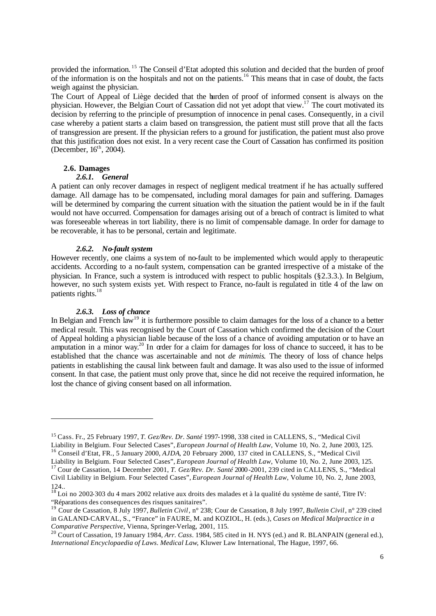provided the information.<sup>15</sup> The Conseil d'Etat adopted this solution and decided that the burden of proof of the information is on the hospitals and not on the patients.<sup>16</sup> This means that in case of doubt, the facts weigh against the physician.

The Court of Appeal of Liège decided that the burden of proof of informed consent is always on the physician. However, the Belgian Court of Cassation did not yet adopt that view.<sup>17</sup> The court motivated its decision by referring to the principle of presumption of innocence in penal cases. Consequently, in a civil case whereby a patient starts a claim based on transgression, the patient must still prove that all the facts of transgression are present. If the physician refers to a ground for justification, the patient must also prove that this justification does not exist. In a very recent case the Court of Cassation has confirmed its position (December,  $16<sup>th</sup>$ , 2004).

## **2.6. Damages**

#### *2.6.1. General*

A patient can only recover damages in respect of negligent medical treatment if he has actually suffered damage. All damage has to be compensated, including moral damages for pain and suffering. Damages will be determined by comparing the current situation with the situation the patient would be in if the fault would not have occurred. Compensation for damages arising out of a breach of contract is limited to what was foreseeable whereas in tort liability, there is no limit of compensable damage. In order for damage to be recoverable, it has to be personal, certain and legitimate.

#### *2.6.2. No-fault system*

However recently, one claims a system of no-fault to be implemented which would apply to therapeutic accidents. According to a no-fault system, compensation can be granted irrespective of a mistake of the physician. In France, such a system is introduced with respect to public hospitals (§2.3.3.). In Belgium, however, no such system exists yet. With respect to France, no-fault is regulated in title 4 of the law on patients rights.<sup>18</sup>

#### *2.6.3. Loss of chance*

In Belgian and French law<sup>19</sup> it is furthermore possible to claim damages for the loss of a chance to a better medical result. This was recognised by the Court of Cassation which confirmed the decision of the Court of Appeal holding a physician liable because of the loss of a chance of avoiding amputation or to have an amputation in a minor way.<sup>20</sup> In order for a claim for damages for loss of chance to succeed, it has to be established that the chance was ascertainable and not *de minimis*. The theory of loss of chance helps patients in establishing the causal link between fault and damage. It was also used to the issue of informed consent. In that case, the patient must only prove that, since he did not receive the required information, he lost the chance of giving consent based on all information.

<sup>15</sup> Cass. Fr., 25 February 1997, *T. Gez/Rev. Dr. Santé* 1997-1998, 338 cited in CALLENS, S., "Medical Civil Liability in Belgium. Four Selected Cases", *European Journal of Health Law*, Volume 10, No. 2, June 2003, 125. <sup>16</sup> Conseil d'Etat, FR., 5 January 2000, *AJDA*, 20 February 2000, 137 cited in CALLENS, S., "Medical Civil

Liability in Belgium. Four Selected Cases", *European Journal of Health Law*, Volume 10, No. 2, June 2003, 125.

<sup>17</sup> Cour de Cassation, 14 December 2001, *T. Gez/Rev. Dr. Santé* 2000-2001, 239 cited in CALLENS, S., "Medical Civil Liability in Belgium. Four Selected Cases", *European Journal of Health Law*, Volume 10, No. 2, June 2003, 124..

<sup>&</sup>lt;sup>18</sup> Loi no 2002-303 du 4 mars 2002 relative aux droits des malades et à la qualité du système de santé, Titre IV: "Réparations des consequences des risques sanitaires".

<sup>19</sup> Cour de Cassation, 8 July 1997, *Bulletin Civil*, n° 238; Cour de Cassation, 8 July 1997, *Bulletin Civil*, n° 239 cited in GALAND-CARVAL, S., "France" in FAURE, M. and KOZIOL, H. (eds.), *Cases on Medical Malpractice in a Comparative Perspective*, Vienna, Springer-Verlag, 2001, 115.

<sup>20</sup> Court of Cassation, 19 January 1984, *Arr. Cass*. 1984, 585 cited in H. NYS (ed.) and R. BLANPAIN (general ed.), *International Encyclopaedia of Laws. Medical Law*, Kluwer Law International, The Hague, 1997, 66.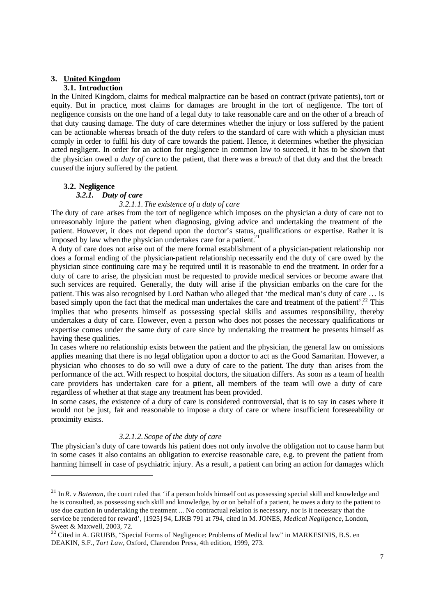# **3. United Kingdom**

# **3.1. Introduction**

In the United Kingdom, claims for medical malpractice can be based on contract (private patients), tort or equity. But in practice, most claims for damages are brought in the tort of negligence. The tort of negligence consists on the one hand of a legal duty to take reasonable care and on the other of a breach of that duty causing damage. The duty of care determines whether the injury or loss suffered by the patient can be actionable whereas breach of the duty refers to the standard of care with which a physician must comply in order to fulfil his duty of care towards the patient. Hence, it determines whether the physician acted negligent. In order for an action for negligence in common law to succeed, it has to be shown that the physician owed *a duty of care* to the patient, that there was a *breach* of that duty and that the breach *caused* the injury suffered by the patient.

# **3.2. Negligence**

# *3.2.1. Duty of care*

# *3.2.1.1. The existence of a duty of care*

The duty of care arises from the tort of negligence which imposes on the physician a duty of care not to unreasonably injure the patient when diagnosing, giving advice and undertaking the treatment of the patient. However, it does not depend upon the doctor's status, qualifications or expertise. Rather it is imposed by law when the physician undertakes care for a patient.<sup>2</sup>

A duty of care does not arise out of the mere formal establishment of a physician-patient relationship nor does a formal ending of the physician-patient relationship necessarily end the duty of care owed by the physician since continuing care may be required until it is reasonable to end the treatment. In order for a duty of care to arise, the physician must be requested to provide medical services or become aware that such services are required. Generally, the duty will arise if the physician embarks on the care for the patient. This was also recognised by Lord Nathan who alleged that 'the medical man's duty of care … is based simply upon the fact that the medical man undertakes the care and treatment of the patient'.<sup>22</sup> This implies that who presents himself as possessing special skills and assumes responsibility, thereby undertakes a duty of care. However, even a person who does not posses the necessary qualifications or expertise comes under the same duty of care since by undertaking the treatment he presents himself as having these qualities.

In cases where no relationship exists between the patient and the physician, the general law on omissions applies meaning that there is no legal obligation upon a doctor to act as the Good Samaritan. However, a physician who chooses to do so will owe a duty of care to the patient. The duty than arises from the performance of the act. With respect to hospital doctors, the situation differs. As soon as a team of health care providers has undertaken care for a patient, all members of the team will owe a duty of care regardless of whether at that stage any treatment has been provided.

In some cases, the existence of a duty of care is considered controversial, that is to say in cases where it would not be just, fair and reasonable to impose a duty of care or where insufficient foreseeability or proximity exists.

# *3.2.1.2. Scope of the duty of care*

The physician's duty of care towards his patient does not only involve the obligation not to cause harm but in some cases it also contains an obligation to exercise reasonable care, e.g. to prevent the patient from harming himself in case of psychiatric injury. As a result, a patient can bring an action for damages which

 $^{21}$  In *R. v Bateman*, the court ruled that 'if a person holds himself out as possessing special skill and knowledge and he is consulted, as possessing such skill and knowledge, by or on behalf of a patient, he owes a duty to the patient to use due caution in undertaking the treatment ... No contractual relation is necessary, nor is it necessary that the service be rendered for reward', [1925] 94, LJKB 791 at 794, cited in M. JONES, *Medical Negligence*, London, Sweet & Maxwell, 2003, 72.

<sup>&</sup>lt;sup>22</sup> Cited in A. GRUBB, "Special Forms of Negligence: Problems of Medical law" in MARKESINIS, B.S. en DEAKIN, S.F., *Tort Law*, Oxford, Clarendon Press, 4th edition, 1999, 273.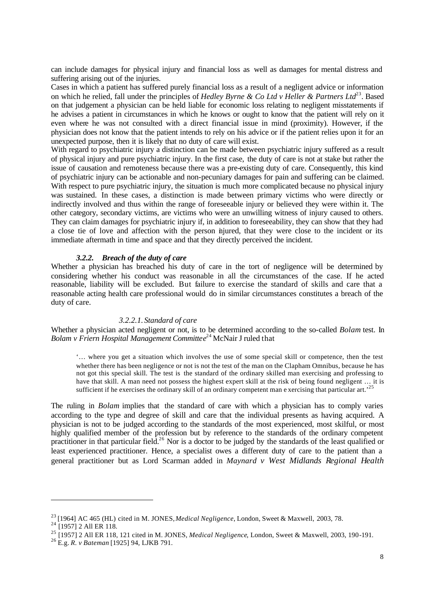can include damages for physical injury and financial loss as well as damages for mental distress and suffering arising out of the injuries.

Cases in which a patient has suffered purely financial loss as a result of a negligent advice or information on which he relied, fall under the principles of *Hedley Byrne & Co Ltd v Heller & Partners Ltd*<sup>23</sup>. Based on that judgement a physician can be held liable for economic loss relating to negligent misstatements if he advises a patient in circumstances in which he knows or ought to know that the patient will rely on it even where he was not consulted with a direct financial issue in mind (proximity). However, if the physician does not know that the patient intends to rely on his advice or if the patient relies upon it for an unexpected purpose, then it is likely that no duty of care will exist.

With regard to psychiatric injury a distinction can be made between psychiatric injury suffered as a result of physical injury and pure psychiatric injury. In the first case, the duty of care is not at stake but rather the issue of causation and remoteness because there was a pre-existing duty of care. Consequently, this kind of psychiatric injury can be actionable and non-pecuniary damages for pain and suffering can be claimed. With respect to pure psychiatric injury, the situation is much more complicated because no physical injury was sustained. In these cases, a distinction is made between primary victims who were directly or indirectly involved and thus within the range of foreseeable injury or believed they were within it. The other category, secondary victims, are victims who were an unwilling witness of injury caused to others. They can claim damages for psychiatric injury if, in addition to foreseeability, they can show that they had a close tie of love and affection with the person injured, that they were close to the incident or its immediate aftermath in time and space and that they directly perceived the incident.

## *3.2.2. Breach of the duty of care*

Whether a physician has breached his duty of care in the tort of negligence will be determined by considering whether his conduct was reasonable in all the circumstances of the case. If he acted reasonable, liability will be excluded. But failure to exercise the standard of skills and care that a reasonable acting health care professional would do in similar circumstances constitutes a breach of the duty of care.

#### *3.2.2.1. Standard of care*

Whether a physician acted negligent or not, is to be determined according to the so-called *Bolam* test. In *Bolam v Friern Hospital Management Committee* <sup>24</sup> McNair J ruled that

'… where you get a situation which involves the use of some special skill or competence, then the test whether there has been negligence or not is not the test of the man on the Clapham Omnibus, because he has not got this special skill. The test is the standard of the ordinary skilled man exercising and professing to have that skill. A man need not possess the highest expert skill at the risk of being found negligent … it is sufficient if he exercises the ordinary skill of an ordinary competent man e xercising that particular art.<sup>25</sup>

The ruling in *Bolam* implies that the standard of care with which a physician has to comply varies according to the type and degree of skill and care that the individual presents as having acquired. A physician is not to be judged according to the standards of the most experienced, most skilful, or most highly qualified member of the profession but by reference to the standards of the ordinary competent practitioner in that particular field.<sup>26</sup> Nor is a doctor to be judged by the standards of the least qualified or least experienced practitioner. Hence, a specialist owes a different duty of care to the patient than a general practitioner but as Lord Scarman added in *Maynard v West Midlands Regional Health* 

<sup>23</sup> [1964] AC 465 (HL) cited in M. JONES, *Medical Negligence*, London, Sweet & Maxwell, 2003, 78.

 $2^2$ <sup>1</sup> [1957] 2 All ER 118.

<sup>25</sup> [1957] 2 All ER 118, 121 cited in M. JONES, *Medical Negligence*, London, Sweet & Maxwell, 2003, 190-191.

<sup>26</sup> E.g. *R. v Bateman* [1925] 94, LJKB 791.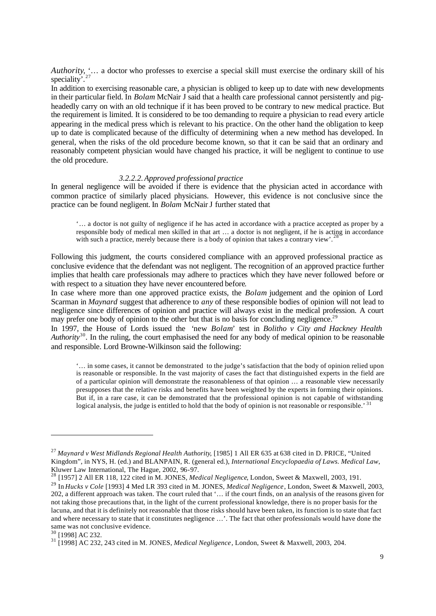*Authority*, '… a doctor who professes to exercise a special skill must exercise the ordinary skill of his speciality'. $^{2}$ 

In addition to exercising reasonable care, a physician is obliged to keep up to date with new developments in their particular field. In *Bolam* McNair J said that a health care professional cannot persistently and pigheadedly carry on with an old technique if it has been proved to be contrary to new medical practice. But the requirement is limited. It is considered to be too demanding to require a physician to read every article appearing in the medical press which is relevant to his practice. On the other hand the obligation to keep up to date is complicated because of the difficulty of determining when a new method has developed. In general, when the risks of the old procedure become known, so that it can be said that an ordinary and reasonably competent physician would have changed his practice, it will be negligent to continue to use the old procedure.

#### *3.2.2.2.Approved professional practice*

In general negligence will be avoided if there is evidence that the physician acted in accordance with common practice of similarly placed physicians. However, this evidence is not conclusive since the practice can be found negligent. In *Bolam* McNair J further stated that

'… a doctor is not guilty of negligence if he has acted in accordance with a practice accepted as proper by a responsible body of medical men skilled in that art … a doctor is not negligent, if he is acting in accordance with such a practice, merely because there is a body of opinion that takes a contrary view'.

Following this judgment, the courts considered compliance with an approved professional practice as conclusive evidence that the defendant was not negligent. The recognition of an approved practice further implies that health care professionals may adhere to practices which they have never followed before or with respect to a situation they have never encountered before.

In case where more than one approved practice exists, the *Bolam* judgement and the opinion of Lord Scarman in *Maynard* suggest that adherence to *any* of these responsible bodies of opinion will not lead to negligence since differences of opinion and practice will always exist in the medical profession. A court may prefer one body of opinion to the other but that is no basis for concluding negligence.<sup>29</sup>

In 1997, the House of Lords issued the 'new *Bolam'* test in *Bolitho v City and Hackney Health Authority*<sup>30</sup> . In the ruling, the court emphasised the need for any body of medical opinion to be reasonable and responsible. Lord Browne-Wilkinson said the following:

'… in some cases, it cannot be demonstrated to the judge's satisfaction that the body of opinion relied upon is reasonable or responsible. In the vast majority of cases the fact that distinguished experts in the field are of a particular opinion will demonstrate the reasonableness of that opinion … a reasonable view necessarily presupposes that the relative risks and benefits have been weighted by the experts in forming their opinions. But if, in a rare case, it can be demonstrated that the professional opinion is not capable of withstanding logical analysis, the judge is entitled to hold that the body of opinion is not reasonable or responsible.<sup>31</sup>

<sup>27</sup> *Maynard v West Midlands Regional Health Authority*, [1985] 1 All ER 635 at 638 cited in D. PRICE, "United Kingdom", in NYS, H. (ed.) and BLANPAIN, R. (general ed.), *International Encyclopaedia of Laws. Medical Law*, Kluwer Law International, The Hague, 2002, 96-97.

<sup>&</sup>lt;sup>3</sup> [1957] 2 All ER 118, 122 cited in M. JONES, *Medical Negligence*, London, Sweet & Maxwell, 2003, 191.

<sup>29</sup> In *Hucks v Cole* [1993] 4 Med LR 393 cited in M. JONES, *Medical Negligence*, London, Sweet & Maxwell, 2003, 202, a different approach was taken. The court ruled that '… if the court finds, on an analysis of the reasons given for not taking those precautions that, in the light of the current professional knowledge, there is no proper basis for the lacuna, and that it is definitely not reasonable that those risks should have been taken, its function is to state that fact and where necessary to state that it constitutes negligence …'. The fact that other professionals would have done the same was not conclusive evidence.

<sup>30</sup> [1998] AC 232.

<sup>31</sup> [1998] AC 232, 243 cited in M. JONES, *Medical Negligence*, London, Sweet & Maxwell, 2003, 204.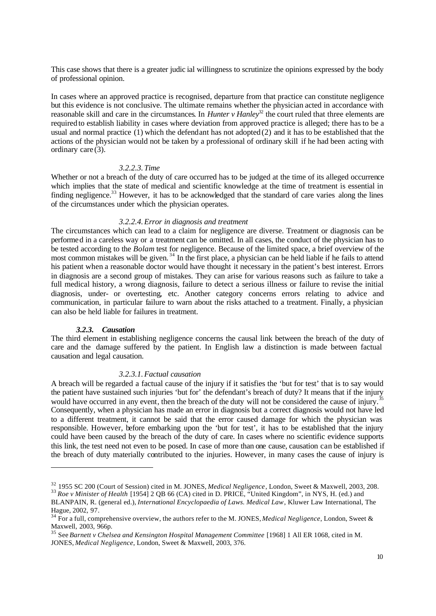This case shows that there is a greater judic ial willingness to scrutinize the opinions expressed by the body of professional opinion.

In cases where an approved practice is recognised, departure from that practice can constitute negligence but this evidence is not conclusive. The ultimate remains whether the physician acted in accordance with reasonable skill and care in the circumstances. In *Hunter v Hanley*<sup>32</sup> the court ruled that three elements are required to establish liability in cases where deviation from approved practice is alleged; there has to be a usual and normal practice  $(1)$  which the defendant has not adopted  $(2)$  and it has to be established that the actions of the physician would not be taken by a professional of ordinary skill if he had been acting with ordinary care (3).

## *3.2.2.3. Time*

Whether or not a breach of the duty of care occurred has to be judged at the time of its alleged occurrence which implies that the state of medical and scientific knowledge at the time of treatment is essential in finding negligence.<sup>33</sup> However, it has to be acknowledged that the standard of care varies along the lines of the circumstances under which the physician operates.

#### *3.2.2.4.Error in diagnosis and treatment*

The circumstances which can lead to a claim for negligence are diverse. Treatment or diagnosis can be performed in a careless way or a treatment can be omitted. In all cases, the conduct of the physician has to be tested according to the *Bolam* test for negligence. Because of the limited space, a brief overview of the most common mistakes will be given.<sup>34</sup> In the first place, a physician can be held liable if he fails to attend his patient when a reasonable doctor would have thought it necessary in the patient's best interest. Errors in diagnosis are a second group of mistakes. They can arise for various reasons such as failure to take a full medical history, a wrong diagnosis, failure to detect a serious illness or failure to revise the initial diagnosis, under- or overtesting, etc. Another category concerns errors relating to advice and communication, in particular failure to warn about the risks attached to a treatment. Finally, a physician can also be held liable for failures in treatment.

#### *3.2.3. Causation*

The third element in establishing negligence concerns the causal link between the breach of the duty of care and the damage suffered by the patient. In English law a distinction is made between factual causation and legal causation.

## *3.2.3.1.Factual causation*

A breach will be regarded a factual cause of the injury if it satisfies the 'but for test' that is to say would the patient have sustained such injuries 'but for' the defendant's breach of duty? It means that if the injury would have occurred in any event, then the breach of the duty will not be considered the cause of injury.<sup>35</sup> Consequently, when a physician has made an error in diagnosis but a correct diagnosis would not have led to a different treatment, it cannot be said that the error caused damage for which the physician was responsible. However, before embarking upon the 'but for test', it has to be established that the injury could have been caused by the breach of the duty of care. In cases where no scientific evidence supports this link, the test need not even to be posed. In case of more than one cause, causation can be established if the breach of duty materially contributed to the injuries. However, in many cases the cause of injury is

<sup>32</sup> 1955 SC 200 (Court of Session) cited in M. JONES, *Medical Negligence*, London, Sweet & Maxwell, 2003, 208. <sup>33</sup> Roe v Minister of Health [1954] 2 QB 66 (CA) cited in D. PRICE, "United Kingdom", in NYS, H. (ed.) and

BLANPAIN, R. (general ed.), *International Encyclopaedia of Laws. Medical Law*, Kluwer Law International, The Hague, 2002, 97.

<sup>34</sup> For a full, comprehensive overview, the authors refer to the M. JONES, *Medical Negligence*, London, Sweet & Maxwell, 2003, 966p.

<sup>35</sup> See *Barnett v Chelsea and Kensington Hospital Management Committee* [1968] 1 All ER 1068, cited in M. JONES, *Medical Negligence*, London, Sweet & Maxwell, 2003, 376.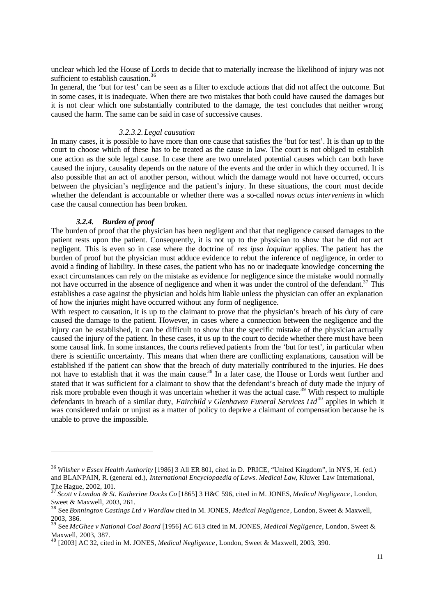unclear which led the House of Lords to decide that to materially increase the likelihood of injury was not sufficient to establish causation.<sup>36</sup>

In general, the 'but for test' can be seen as a filter to exclude actions that did not affect the outcome. But in some cases, it is inadequate. When there are two mistakes that both could have caused the damages but it is not clear which one substantially contributed to the damage, the test concludes that neither wrong caused the harm. The same can be said in case of successive causes.

## *3.2.3.2. Legal causation*

In many cases, it is possible to have more than one cause that satisfies the 'but for test'. It is than up to the court to choose which of these has to be treated as the cause in law. The court is not obliged to establish one action as the sole legal cause. In case there are two unrelated potential causes which can both have caused the injury, causality depends on the nature of the events and the order in which they occurred. It is also possible that an act of another person, without which the damage would not have occurred, occurs between the physician's negligence and the patient's injury. In these situations, the court must decide whether the defendant is accountable or whether there was a so-called *novus actus interveniens* in which case the causal connection has been broken.

#### *3.2.4. Burden of proof*

The burden of proof that the physician has been negligent and that that negligence caused damages to the patient rests upon the patient. Consequently, it is not up to the physician to show that he did not act negligent. This is even so in case where the doctrine of *res ipsa loquitur* applies. The patient has the burden of proof but the physician must adduce evidence to rebut the inference of negligence, in order to avoid a finding of liability. In these cases, the patient who has no or inadequate knowledge concerning the exact circumstances can rely on the mistake as evidence for negligence since the mistake would normally not have occurred in the absence of negligence and when it was under the control of the defendant.<sup>37</sup> This establishes a case against the physician and holds him liable unless the physician can offer an explanation of how the injuries might have occurred without any form of negligence.

With respect to causation, it is up to the claimant to prove that the physician's breach of his duty of care caused the damage to the patient. However, in cases where a connection between the negligence and the injury can be established, it can be difficult to show that the specific mistake of the physician actually caused the injury of the patient. In these cases, it us up to the court to decide whether there must have been some causal link. In some instances, the courts relieved patients from the 'but for test', in particular when there is scientific uncertainty. This means that when there are conflicting explanations, causation will be established if the patient can show that the breach of duty materially contributed to the injuries. He does not have to establish that it was the main cause.<sup>38</sup> In a later case, the House or Lords went further and stated that it was sufficient for a claimant to show that the defendant's breach of duty made the injury of risk more probable even though it was uncertain whether it was the actual case.<sup>39</sup> With respect to multiple defendants in breach of a similar duty, *Fairchild v Glenhaven Funeral Services Ltd*<sup>40</sup> applies in which it was considered unfair or unjust as a matter of policy to deprive a claimant of compensation because he is unable to prove the impossible.

<sup>36</sup> *Wilsher v Essex Health Authority* [1986] 3 All ER 801, cited in D. PRICE, "United Kingdom", in NYS, H. (ed.) and BLANPAIN, R. (general ed.), *International Encyclopaedia of Laws. Medical Law*, Kluwer Law International, The Hague, 2002, 101.

<sup>37</sup> *Scott v London & St. Katherine Docks Co* [1865] 3 H&C 596, cited in M. JONES, *Medical Negligence*, London, Sweet & Maxwell, 2003, 261.

<sup>38</sup> See *Bonnington Castings Ltd v Wardlaw* cited in M. JONES, *Medical Negligence*, London, Sweet & Maxwell, 2003, 386.

<sup>39</sup> See *McGhee v National Coal Board* [1956] AC 613 cited in M. JONES, *Medical Negligence*, London, Sweet & Maxwell, 2003, 387.

<sup>40</sup> [2003] AC 32, cited in M. JONES, *Medical Negligence*, London, Sweet & Maxwell, 2003, 390.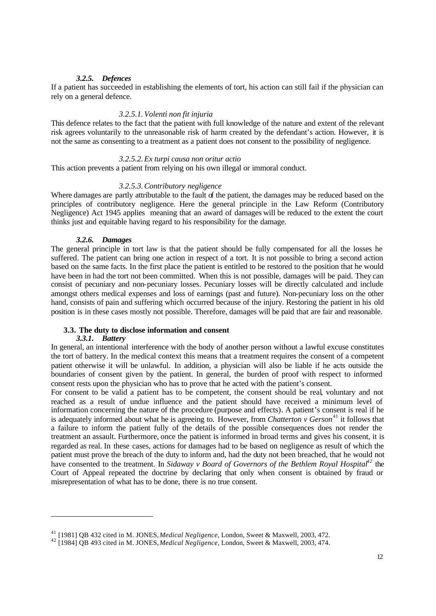## *3.2.5. Defences*

If a patient has succeeded in establishing the elements of tort, his action can still fail if the physician can rely on a general defence.

## *3.2.5.1.Volenti non fit injuria*

This defence relates to the fact that the patient with full knowledge of the nature and extent of the relevant risk agrees voluntarily to the unreasonable risk of harm created by the defendant's action. However, it is not the same as consenting to a treatment as a patient does not consent to the possibility of negligence.

## *3.2.5.2.Ex turpi causa non oritur actio*

This action prevents a patient from relying on his own illegal or immoral conduct.

### *3.2.5.3.Contributory negligence*

Where damages are partly attributable to the fault of the patient, the damages may be reduced based on the principles of contributory negligence. Here the general principle in the Law Reform (Contributory Negligence) Act 1945 applies meaning that an award of damages will be reduced to the extent the court thinks just and equitable having regard to his responsibility for the damage.

#### *3.2.6. Damages*

The general principle in tort law is that the patient should be fully compensated for all the losses he suffered. The patient can bring one action in respect of a tort. It is not possible to bring a second action based on the same facts. In the first place the patient is entitled to be restored to the position that he would have been in had the tort not been committed. When this is not possible, damages will be paid. They can consist of pecuniary and non-pecuniary losses. Pecuniary losses will be directly calculated and include amongst others medical expenses and loss of earnings (past and future). Non-pecuniary loss on the other hand, consists of pain and suffering which occurred because of the injury. Restoring the patient in his old position is in these cases mostly not possible. Therefore, damages will be paid that are fair and reasonable.

#### **3.3. The duty to disclose information and consent**

#### *3.3.1. Battery*

In general, an intentional interference with the body of another person without a lawful excuse constitutes the tort of battery. In the medical context this means that a treatment requires the consent of a competent patient otherwise it will be unlawful. In addition, a physician will also be liable if he acts outside the boundaries of consent given by the patient. In general, the burden of proof with respect to informed consent rests upon the physician who has to prove that he acted with the patient's consent.

For consent to be valid a patient has to be competent, the consent should be real, voluntary and not reached as a result of undue influence and the patient should have received a minimum level of information concerning the nature of the procedure (purpose and effects). A patient's consent is real if he is adequately informed about what he is agreeing to. However, from *Chatterton v Gerson*<sup>41</sup> it follows that a failure to inform the patient fully of the details of the possible consequences does not render the treatment an assault. Furthermore, once the patient is informed in broad terms and gives his consent, it is regarded as real. In these cases, actions for damages had to be based on negligence as result of which the patient must prove the breach of the duty to inform and, had the duty not been breached, that he would not have consented to the treatment. In *Sidaway v Board of Governors of the Bethlem Royal Hospital<sup>42</sup>* the Court of Appeal repeated the doctrine by declaring that only when consent is obtained by fraud or misrepresentation of what has to be done, there is no true consent.

<sup>41</sup> [1981] QB 432 cited in M. JONES, *Medical Negligence*, London, Sweet & Maxwell, 2003, 472.

<sup>42</sup> [1984] QB 493 cited in M. JONES, *Medical Negligence*, London, Sweet & Maxwell, 2003, 474.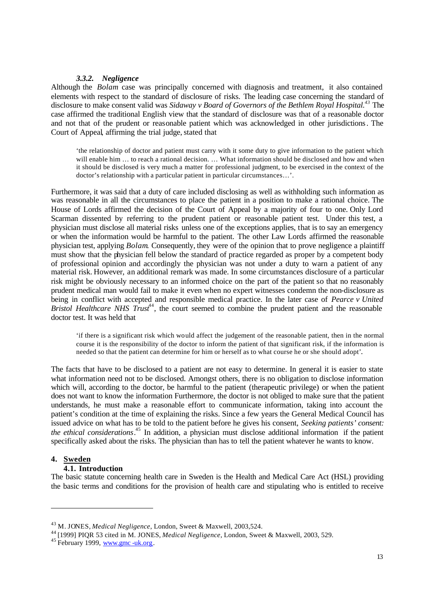## *3.3.2. Negligence*

Although the *Bolam* case was principally concerned with diagnosis and treatment, it also contained elements with respect to the standard of disclosure of risks. The leading case concerning the standard of disclosure to make consent valid was *Sidaway v Board of Governors of the Bethlem Royal Hospital.<sup>43</sup>* The case affirmed the traditional English view that the standard of disclosure was that of a reasonable doctor and not that of the prudent or reasonable patient which was acknowledged in other jurisdictions. The Court of Appeal, affirming the trial judge, stated that

'the relationship of doctor and patient must carry with it some duty to give information to the patient which will enable him ... to reach a rational decision. ... What information should be disclosed and how and when it should be disclosed is very much a matter for professional judgment, to be exercised in the context of the doctor's relationship with a particular patient in particular circumstances…'.

Furthermore, it was said that a duty of care included disclosing as well as withholding such information as was reasonable in all the circumstances to place the patient in a position to make a rational choice. The House of Lords affirmed the decision of the Court of Appeal by a majority of four to one. Only Lord Scarman dissented by referring to the prudent patient or reasonable patient test. Under this test, a physician must disclose all material risks unless one of the exceptions applies, that is to say an emergency or when the information would be harmful to the patient. The other Law Lords affirmed the reasonable physician test, applying *Bolam*. Consequently, they were of the opinion that to prove negligence a plaintiff must show that the physician fell below the standard of practice regarded as proper by a competent body of professional opinion and accordingly the physician was not under a duty to warn a patient of any material risk. However, an additional remark was made. In some circumstances disclosure of a particular risk might be obviously necessary to an informed choice on the part of the patient so that no reasonably prudent medical man would fail to make it even when no expert witnesses condemn the non-disclosure as being in conflict with accepted and responsible medical practice. In the later case of *Pearce v United*  Bristol Healthcare NHS Trust<sup>44</sup>, the court seemed to combine the prudent patient and the reasonable doctor test. It was held that

'if there is a significant risk which would affect the judgement of the reasonable patient, then in the normal course it is the responsibility of the doctor to inform the patient of that significant risk, if the information is needed so that the patient can determine for him or herself as to what course he or she should adopt'.

The facts that have to be disclosed to a patient are not easy to determine. In general it is easier to state what information need not to be disclosed. Amongst others, there is no obligation to disclose information which will, according to the doctor, be harmful to the patient (therapeutic privilege) or when the patient does not want to know the information Furthermore, the doctor is not obliged to make sure that the patient understands, he must make a reasonable effort to communicate information, taking into account the patient's condition at the time of explaining the risks. Since a few years the General Medical Council has issued advice on what has to be told to the patient before he gives his consent, *Seeking patients' consent: the ethical considerations*. <sup>45</sup> In addition, a physician must disclose additional information if the patient specifically asked about the risks. The physician than has to tell the patient whatever he wants to know.

### **4. Sweden**

# **4.1. Introduction**

The basic statute concerning health care in Sweden is the Health and Medical Care Act (HSL) providing the basic terms and conditions for the provision of health care and stipulating who is entitled to receive

<sup>43</sup> M. JONES, *Medical Negligence*, London, Sweet & Maxwell, 2003,524.

<sup>44</sup> [1999] PIQR 53 cited in M. JONES, *Medical Negligence*, London, Sweet & Maxwell, 2003, 529.

 $45$  February 1999, www.gmc -uk.org.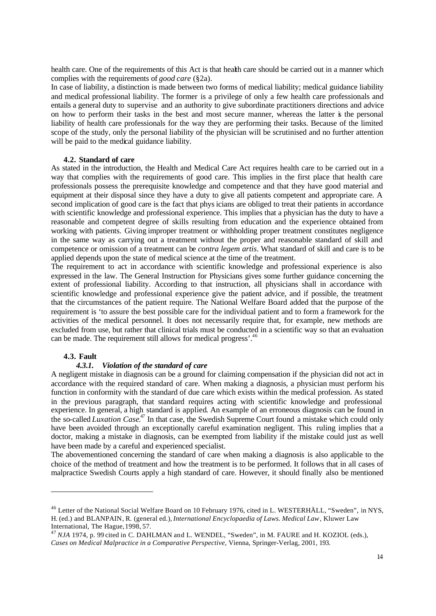health care. One of the requirements of this Act is that health care should be carried out in a manner which complies with the requirements of *good care* (§2a).

In case of liability, a distinction is made between two forms of medical liability; medical guidance liability and medical professional liability. The former is a privilege of only a few health care professionals and entails a general duty to supervise and an authority to give subordinate practitioners directions and advice on how to perform their tasks in the best and most secure manner, whereas the latter is the personal liability of health care professionals for the way they are performing their tasks. Because of the limited scope of the study, only the personal liability of the physician will be scrutinised and no further attention will be paid to the medical guidance liability.

### **4.2. Standard of care**

As stated in the introduction, the Health and Medical Care Act requires health care to be carried out in a way that complies with the requirements of good care. This implies in the first place that health care professionals possess the prerequisite knowledge and competence and that they have good material and equipment at their disposal since they have a duty to give all patients competent and appropriate care. A second implication of good care is the fact that physicians are obliged to treat their patients in accordance with scientific knowledge and professional experience. This implies that a physician has the duty to have a reasonable and competent degree of skills resulting from education and the experience obtained from working with patients. Giving improper treatment or withholding proper treatment constitutes negligence in the same way as carrying out a treatment without the proper and reasonable standard of skill and competence or omission of a treatment can be *contra legem artis*. What standard of skill and care is to be applied depends upon the state of medical science at the time of the treatment.

The requirement to act in accordance with scientific knowledge and professional experience is also expressed in the law. The General Instruction for Physicians gives some further guidance concerning the extent of professional liability. According to that instruction, all physicians shall in accordance with scientific knowledge and professional experience give the patient advice, and if possible, the treatment that the circumstances of the patient require. The National Welfare Board added that the purpose of the requirement is 'to assure the best possible care for the individual patient and to form a framework for the activities of the medical personnel. It does not necessarily require that, for example, new methods are excluded from use, but rather that clinical trials must be conducted in a scientific way so that an evaluation can be made. The requirement still allows for medical progress'.<sup>46</sup>

## **4.3. Fault**

## *4.3.1. Violation of the standard of care*

A negligent mistake in diagnosis can be a ground for claiming compensation if the physician did not act in accordance with the required standard of care. When making a diagnosis, a physician must perform his function in conformity with the standard of due care which exists within the medical profession. As stated in the previous paragraph, that standard requires acting with scientific knowledge and professional experience. In general, a high standard is applied. An example of an erroneous diagnosis can be found in the so-called *Luxation Case*. <sup>47</sup> In that case, the Swedish Supreme Court found a mistake which could only have been avoided through an exceptionally careful examination negligent. This ruling implies that a doctor, making a mistake in diagnosis, can be exempted from liability if the mistake could just as well have been made by a careful and experienced specialist.

The abovementioned concerning the standard of care when making a diagnosis is also applicable to the choice of the method of treatment and how the treatment is to be performed. It follows that in all cases of malpractice Swedish Courts apply a high standard of care. However, it should finally also be mentioned

<sup>&</sup>lt;sup>46</sup> Letter of the National Social Welfare Board on 10 February 1976, cited in L. WESTERHÄLL, "Sweden", in NYS, H. (ed.) and BLANPAIN, R. (general ed.), *International Encyclopaedia of Laws. Medical Law*, Kluwer Law International, The Hague, 1998, 57.

<sup>47</sup> *NJA* 1974, p. 99 cited in C. DAHLMAN and L. WENDEL, "Sweden", in M. FAURE and H. KOZIOL (eds.), *Cases on Medical Malpractice in a Comparative Perspective*, Vienna, Springer-Verlag, 2001, 193.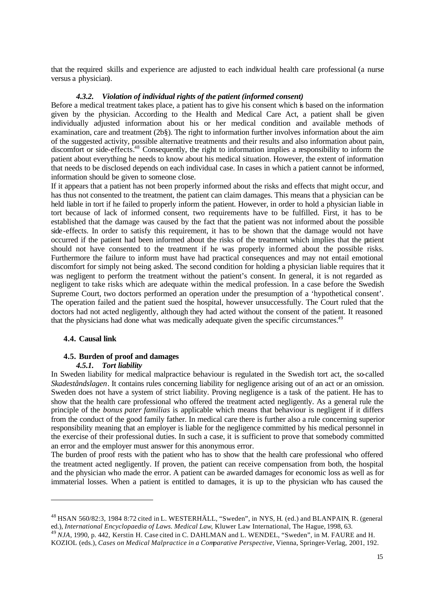that the required skills and experience are adjusted to each individual health care professional (a nurse versus a physician).

### *4.3.2. Violation of individual rights of the patient (informed consent)*

Before a medical treatment takes place, a patient has to give his consent which is based on the information given by the physician. According to the Health and Medical Care Act, a patient shall be given individually adjusted information about his or her medical condition and available methods of examination, care and treatment (2b§). The right to information further involves information about the aim of the suggested activity, possible alternative treatments and their results and also information about pain, discomfort or side-effects.<sup>48</sup> Consequently, the right to information implies a responsibility to inform the patient about everything he needs to know about his medical situation. However, the extent of information that needs to be disclosed depends on each individual case. In cases in which a patient cannot be informed, information should be given to someone close.

If it appears that a patient has not been properly informed about the risks and effects that might occur, and has thus not consented to the treatment, the patient can claim damages. This means that a physician can be held liable in tort if he failed to properly inform the patient. However, in order to hold a physician liable in tort because of lack of informed consent, two requirements have to be fulfilled. First, it has to be established that the damage was caused by the fact that the patient was not informed about the possible side-effects. In order to satisfy this requirement, it has to be shown that the damage would not have occurred if the patient had been informed about the risks of the treatment which implies that the patient should not have consented to the treatment if he was properly informed about the possible risks. Furthermore the failure to inform must have had practical consequences and may not entail emotional discomfort for simply not being asked. The second condition for holding a physician liable requires that it was negligent to perform the treatment without the patient's consent. In general, it is not regarded as negligent to take risks which are adequate within the medical profession. In a case before the Swedish Supreme Court, two doctors performed an operation under the presumption of a 'hypothetical consent'. The operation failed and the patient sued the hospital, however unsuccessfully. The Court ruled that the doctors had not acted negligently, although they had acted without the consent of the patient. It reasoned that the physicians had done what was medically adequate given the specific circumstances.<sup>49</sup>

#### **4.4. Causal link**

# **4.5. Burden of proof and damages**

# *4.5.1. Tort liability*

In Sweden liability for medical malpractice behaviour is regulated in the Swedish tort act, the so-called *Skadeståndslagen*. It contains rules concerning liability for negligence arising out of an act or an omission. Sweden does not have a system of strict liability. Proving negligence is a task of the patient. He has to show that the health care professional who offered the treatment acted negligently. As a general rule the principle of the *bonus pater familias* is applicable which means that behaviour is negligent if it differs from the conduct of the good family father. In medical care there is further also a rule concerning superior responsibility meaning that an employer is liable for the negligence committed by his medical personnel in the exercise of their professional duties. In such a case, it is sufficient to prove that somebody committed an error and the employer must answer for this anonymous error.

The burden of proof rests with the patient who has to show that the health care professional who offered the treatment acted negligently. If proven, the patient can receive compensation from both, the hospital and the physician who made the error. A patient can be awarded damages for economic loss as well as for immaterial losses. When a patient is entitled to damages, it is up to the physician who has caused the

<sup>48</sup> HSAN 560/82:3, 1984 8:72 cited in L. WESTERHÄLL, "Sweden", in NYS, H. (ed.) and BLANPAIN, R. (general ed.), *International Encyclopaedia of Laws. Medical Law*, Kluwer Law International, The Hague, 1998, 63.

<sup>49</sup> *NJA*, 1990, p. 442, Kerstin H. Case cited in C. DAHLMAN and L. WENDEL, "Sweden", in M. FAURE and H. KOZIOL (eds.), *Cases on Medical Malpractice in a Comparative Perspective*, Vienna, Springer-Verlag, 2001, 192.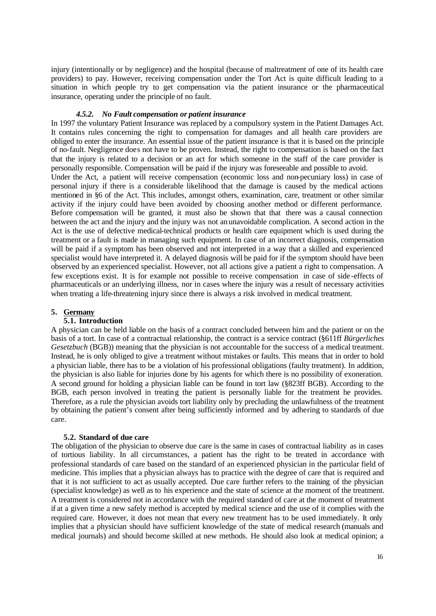injury (intentionally or by negligence) and the hospital (because of maltreatment of one of its health care providers) to pay. However, receiving compensation under the Tort Act is quite difficult leading to a situation in which people try to get compensation via the patient insurance or the pharmaceutical insurance, operating under the principle of no fault.

#### *4.5.2. No Fault compensation or patient insurance*

In 1997 the voluntary Patient Insurance was replaced by a compulsory system in the Patient Damages Act. It contains rules concerning the right to compensation for damages and all health care providers are obliged to enter the insurance. An essential issue of the patient insurance is that it is based on the principle of no-fault. Negligence does not have to be proven. Instead, the right to compensation is based on the fact that the injury is related to a decision or an act for which someone in the staff of the care provider is personally responsible. Compensation will be paid if the injury was foreseeable and possible to avoid. Under the Act, a patient will receive compensation (economic loss and non-pecuniary loss) in case of personal injury if there is a considerable likelihood that the damage is caused by the medical actions mentioned in §6 of the Act. This includes, amongst others, examination, care, treatment or other similar activity if the injury could have been avoided by choosing another method or different performance. Before compensation will be granted, it must also be shown that that there was a causal connection between the act and the injury and the injury was not an unavoidable complication. A second action in the Act is the use of defective medical-technical products or health care equipment which is used during the treatment or a fault is made in managing such equipment. In case of an incorrect diagnosis, compensation will be paid if a symptom has been observed and not interpreted in a way that a skilled and experienced specialist would have interpreted it. A delayed diagnosis will be paid for if the symptom should have been observed by an experienced specialist. However, not all actions give a patient a right to compensation. A few exceptions exist. It is for example not possible to receive compensation in case of side -effects of pharmaceuticals or an underlying illness, nor in cases where the injury was a result of necessary activities when treating a life-threatening injury since there is always a risk involved in medical treatment.

#### **5. Germany**

## **5.1. Introduction**

A physician can be held liable on the basis of a contract concluded between him and the patient or on the basis of a tort. In case of a contractual relationship, the contract is a service contract (§611ff *Bürgerliches Gesetzbuch* (BGB)) meaning that the physician is not accountable for the success of a medical treatment. Instead, he is only obliged to give a treatment without mistakes or faults. This means that in order to hold a physician liable, there has to be a violation of his professional obligations (faulty treatment). In addition, the physician is also liable for injuries done by his agents for which there is no possibility of exoneration. A second ground for holding a physician liable can be found in tort law (§823ff BGB). According to the BGB, each person involved in treating the patient is personally liable for the treatment he provides. Therefore, as a rule the physician avoids tort liability only by precluding the unlawfulness of the treatment by obtaining the patient's consent after being sufficiently informed and by adhering to standards of due care.

## **5.2. Standard of due care**

The obligation of the physician to observe due care is the same in cases of contractual liability as in cases of tortious liability. In all circumstances, a patient has the right to be treated in accordance with professional standards of care based on the standard of an experienced physician in the particular field of medicine. This implies that a physician always has to practice with the degree of care that is required and that it is not sufficient to act as usually accepted. Due care further refers to the training of the physician (specialist knowledge) as well as to his experience and the state of science at the moment of the treatment. A treatment is considered not in accordance with the required standard of care at the moment of treatment if at a given time a new safely method is accepted by medical science and the use of it complies with the required care. However, it does not mean that every new treatment has to be used immediately. It only implies that a physician should have sufficient knowledge of the state of medical research (manuals and medical journals) and should become skilled at new methods. He should also look at medical opinion; a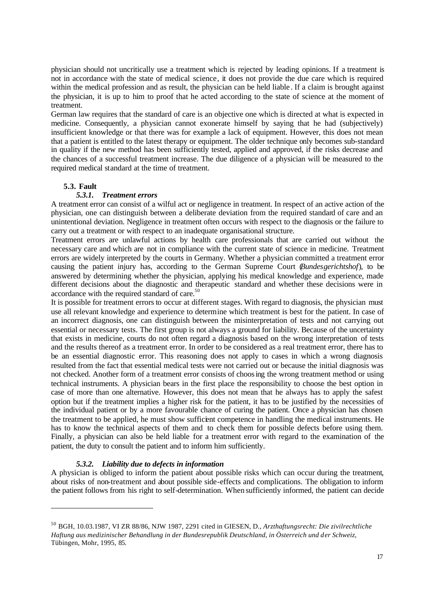physician should not uncritically use a treatment which is rejected by leading opinions. If a treatment is not in accordance with the state of medical science, it does not provide the due care which is required within the medical profession and as result, the physician can be held liable . If a claim is brought against the physician, it is up to him to proof that he acted according to the state of science at the moment of treatment.

German law requires that the standard of care is an objective one which is directed at what is expected in medicine. Consequently, a physician cannot exonerate himself by saying that he had (subjectively) insufficient knowledge or that there was for example a lack of equipment. However, this does not mean that a patient is entitled to the latest therapy or equipment. The older technique only becomes sub-standard in quality if the new method has been sufficiently tested, applied and approved, if the risks decrease and the chances of a successful treatment increase. The due diligence of a physician will be measured to the required medical standard at the time of treatment.

### **5.3. Fault**

## *5.3.1. Treatment errors*

A treatment error can consist of a wilful act or negligence in treatment. In respect of an active action of the physician, one can distinguish between a deliberate deviation from the required standard of care and an unintentional deviation. Negligence in treatment often occurs with respect to the diagnosis or the failure to carry out a treatment or with respect to an inadequate organisational structure.

Treatment errors are unlawful actions by health care professionals that are carried out without the necessary care and which are not in compliance with the current state of science in medicine. Treatment errors are widely interpreted by the courts in Germany. Whether a physician committed a treatment error causing the patient injury has, according to the German Supreme Court (*Bundesgerichtshof*), to be answered by determining whether the physician, applying his medical knowledge and experience, made different decisions about the diagnostic and therapeutic standard and whether these decisions were in accordance with the required standard of care.<sup>50</sup>

It is possible for treatment errors to occur at different stages. With regard to diagnosis, the physician must use all relevant knowledge and experience to determine which treatment is best for the patient. In case of an incorrect diagnosis, one can distinguish between the misinterpretation of tests and not carrying out essential or necessary tests. The first group is not always a ground for liability. Because of the uncertainty that exists in medicine, courts do not often regard a diagnosis based on the wrong interpretation of tests and the results thereof as a treatment error. In order to be considered as a real treatment error, there has to be an essential diagnostic error. This reasoning does not apply to cases in which a wrong diagnosis resulted from the fact that essential medical tests were not carried out or because the initial diagnosis was not checked. Another form of a treatment error consists of choosing the wrong treatment method or using technical instruments. A physician bears in the first place the responsibility to choose the best option in case of more than one alternative. However, this does not mean that he always has to apply the safest option but if the treatment implies a higher risk for the patient, it has to be justified by the necessities of the individual patient or by a more favourable chance of curing the patient. Once a physician has chosen the treatment to be applied, he must show sufficient competence in handling the medical instruments. He has to know the technical aspects of them and to check them for possible defects before using them. Finally, a physician can also be held liable for a treatment error with regard to the examination of the patient, the duty to consult the patient and to inform him sufficiently.

#### *5.3.2. Liability due to defects in information*

A physician is obliged to inform the patient about possible risks which can occur during the treatment, about risks of non-treatment and about possible side-effects and complications. The obligation to inform the patient follows from his right to self-determination. When sufficiently informed, the patient can decide

<sup>50</sup> BGH, 10.03.1987, VI ZR 88/86, NJW 1987, 2291 cited in GIESEN, D., *Arzthaftungsrecht: Die zivilrechtliche Haftung aus medizinischer Behandlung in der Bundesrepublik Deutschland, in Österreich und der Schweiz*, Tübingen, Mohr, 1995, 85.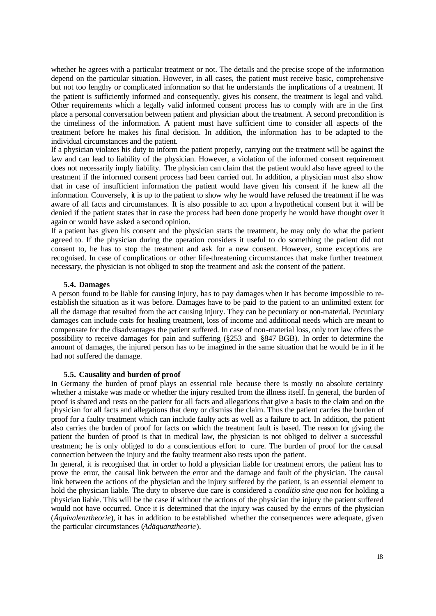whether he agrees with a particular treatment or not. The details and the precise scope of the information depend on the particular situation. However, in all cases, the patient must receive basic, comprehensive but not too lengthy or complicated information so that he understands the implications of a treatment. If the patient is sufficiently informed and consequently, gives his consent, the treatment is legal and valid. Other requirements which a legally valid informed consent process has to comply with are in the first place a personal conversation between patient and physician about the treatment. A second precondition is the timeliness of the information. A patient must have sufficient time to consider all aspects of the treatment before he makes his final decision. In addition, the information has to be adapted to the individual circumstances and the patient.

If a physician violates his duty to inform the patient properly, carrying out the treatment will be against the law and can lead to liability of the physician. However, a violation of the informed consent requirement does not necessarily imply liability. The physician can claim that the patient would also have agreed to the treatment if the informed consent process had been carried out. In addition, a physician must also show that in case of insufficient information the patient would have given his consent if he knew all the information. Conversely, it is up to the patient to show why he would have refused the treatment if he was aware of all facts and circumstances. It is also possible to act upon a hypothetical consent but it will be denied if the patient states that in case the process had been done properly he would have thought over it again or would have asked a second opinion.

If a patient has given his consent and the physician starts the treatment, he may only do what the patient agreed to. If the physician during the operation considers it useful to do something the patient did not consent to, he has to stop the treatment and ask for a new consent. However, some exceptions are recognised. In case of complications or other life-threatening circumstances that make further treatment necessary, the physician is not obliged to stop the treatment and ask the consent of the patient.

#### **5.4. Damages**

A person found to be liable for causing injury, has to pay damages when it has become impossible to reestablish the situation as it was before. Damages have to be paid to the patient to an unlimited extent for all the damage that resulted from the act causing injury. They can be pecuniary or non-material. Pecuniary damages can include costs for healing treatment, loss of income and additional needs which are meant to compensate for the disadvantages the patient suffered. In case of non-material loss, only tort law offers the possibility to receive damages for pain and suffering (§253 and §847 BGB). In order to determine the amount of damages, the injured person has to be imagined in the same situation that he would be in if he had not suffered the damage.

## **5.5. Causality and burden of proof**

In Germany the burden of proof plays an essential role because there is mostly no absolute certainty whether a mistake was made or whether the injury resulted from the illness itself. In general, the burden of proof is shared and rests on the patient for all facts and allegations that give a basis to the claim and on the physician for all facts and allegations that deny or dismiss the claim. Thus the patient carries the burden of proof for a faulty treatment which can include faulty acts as well as a failure to act. In addition, the patient also carries the burden of proof for facts on which the treatment fault is based. The reason for giving the patient the burden of proof is that in medical law, the physician is not obliged to deliver a successful treatment; he is only obliged to do a conscientious effort to cure. The burden of proof for the causal connection between the injury and the faulty treatment also rests upon the patient.

In general, it is recognised that in order to hold a physician liable for treatment errors, the patient has to prove the error, the causal link between the error and the damage and fault of the physician. The causal link between the actions of the physician and the injury suffered by the patient, is an essential element to hold the physician liable. The duty to observe due care is considered a *conditio sine qua non* for holding a physician liable. This will be the case if without the actions of the physician the injury the patient suffered would not have occurred. Once it is determined that the injury was caused by the errors of the physician (*Äquivalenztheorie*), it has in addition to be established whether the consequences were adequate, given the particular circumstances (*Adäquanztheorie*).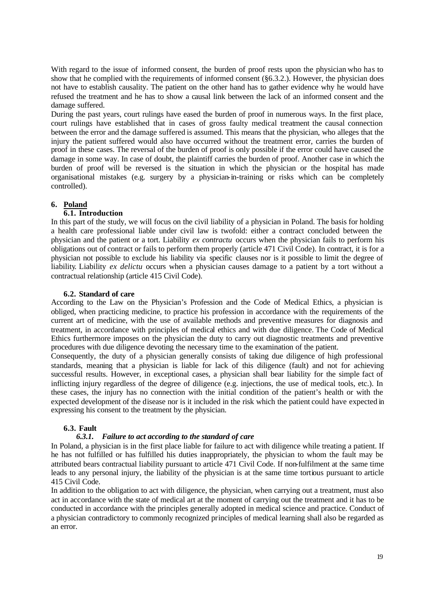With regard to the issue of informed consent, the burden of proof rests upon the physician who has to show that he complied with the requirements of informed consent (§6.3.2.). However, the physician does not have to establish causality. The patient on the other hand has to gather evidence why he would have refused the treatment and he has to show a causal link between the lack of an informed consent and the damage suffered.

During the past years, court rulings have eased the burden of proof in numerous ways. In the first place, court rulings have established that in cases of gross faulty medical treatment the causal connection between the error and the damage suffered is assumed. This means that the physician, who alleges that the injury the patient suffered would also have occurred without the treatment error, carries the burden of proof in these cases. The reversal of the burden of proof is only possible if the error could have caused the damage in some way. In case of doubt, the plaintiff carries the burden of proof. Another case in which the burden of proof will be reversed is the situation in which the physician or the hospital has made organisational mistakes (e.g. surgery by a physician-in-training or risks which can be completely controlled).

# **6. Poland**

# **6.1. Introduction**

In this part of the study, we will focus on the civil liability of a physician in Poland. The basis for holding a health care professional liable under civil law is twofold: either a contract concluded between the physician and the patient or a tort. Liability *ex contractu* occurs when the physician fails to perform his obligations out of contract or fails to perform them properly (article 471 Civil Code). In contract, it is for a physician not possible to exclude his liability via specific clauses nor is it possible to limit the degree of liability. Liability *ex delictu* occurs when a physician causes damage to a patient by a tort without a contractual relationship (article 415 Civil Code).

## **6.2. Standard of care**

According to the Law on the Physician's Profession and the Code of Medical Ethics, a physician is obliged, when practicing medicine, to practice his profession in accordance with the requirements of the current art of medicine, with the use of available methods and preventive measures for diagnosis and treatment, in accordance with principles of medical ethics and with due diligence. The Code of Medical Ethics furthermore imposes on the physician the duty to carry out diagnostic treatments and preventive procedures with due diligence devoting the necessary time to the examination of the patient.

Consequently, the duty of a physician generally consists of taking due diligence of high professional standards, meaning that a physician is liable for lack of this diligence (fault) and not for achieving successful results. However, in exceptional cases, a physician shall bear liability for the simple fact of inflicting injury regardless of the degree of diligence (e.g. injections, the use of medical tools, etc.). In these cases, the injury has no connection with the initial condition of the patient's health or with the expected development of the disease nor is it included in the risk which the patient could have expected in expressing his consent to the treatment by the physician.

### **6.3. Fault**

## *6.3.1. Failure to act according to the standard of care*

In Poland, a physician is in the first place liable for failure to act with diligence while treating a patient. If he has not fulfilled or has fulfilled his duties inappropriately, the physician to whom the fault may be attributed bears contractual liability pursuant to article 471 Civil Code. If non-fulfilment at the same time leads to any personal injury, the liability of the physician is at the same time tortious pursuant to article 415 Civil Code.

In addition to the obligation to act with diligence, the physician, when carrying out a treatment, must also act in accordance with the state of medical art at the moment of carrying out the treatment and it has to be conducted in accordance with the principles generally adopted in medical science and practice. Conduct of a physician contradictory to commonly recognized principles of medical learning shall also be regarded as an error.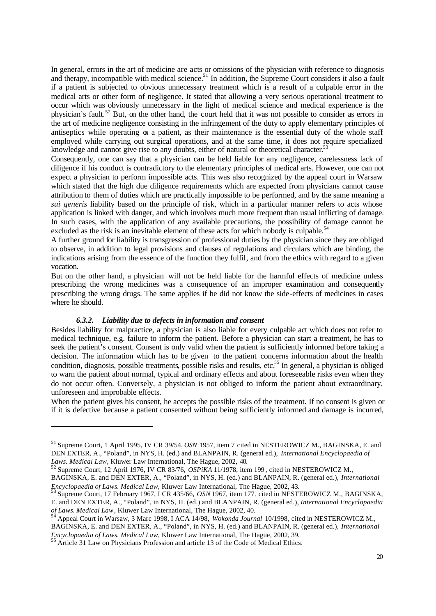In general, errors in the art of medicine are acts or omissions of the physician with reference to diagnosis and therapy, incompatible with medical science.<sup>51</sup> In addition, the Supreme Court considers it also a fault if a patient is subjected to obvious unnecessary treatment which is a result of a culpable error in the medical arts or other form of negligence. It stated that allowing a very serious operational treatment to occur which was obviously unnecessary in the light of medical science and medical experience is the physician's fault.<sup>52</sup> But, on the other hand, the court held that it was not possible to consider as errors in the art of medicine negligence consisting in the infringement of the duty to apply elementary principles of antiseptics while operating on a patient, as their maintenance is the essential duty of the whole staff employed while carrying out surgical operations, and at the same time, it does not require specialized knowledge and cannot give rise to any doubts, either of natural or theoretical character.<sup>53</sup>

Consequently, one can say that a physician can be held liable for any negligence, carelessness lack of diligence if his conduct is contradictory to the elementary principles of medical arts. However, one can not expect a physician to perform impossible acts. This was also recognized by the appeal court in Warsaw which stated that the high due diligence requirements which are expected from physicians cannot cause attribution to them of duties which are practically impossible to be performed, and by the same meaning a *sui generis* liability based on the principle of risk, which in a particular manner refers to acts whose application is linked with danger, and which involves much more frequent than usual inflicting of damage. In such cases, with the application of any available precautions, the possibility of damage cannot be excluded as the risk is an inevitable element of these acts for which nobody is culpable.<sup>54</sup>

A further ground for liability is transgression of professional duties by the physician since they are obliged to observe, in addition to legal provisions and clauses of regulations and circulars which are binding, the indications arising from the essence of the function they fulfil, and from the ethics with regard to a given vocation.

But on the other hand, a physician will not be held liable for the harmful effects of medicine unless prescribing the wrong medicines was a consequence of an improper examination and consequently prescribing the wrong drugs. The same applies if he did not know the side-effects of medicines in cases where he should.

#### *6.3.2. Liability due to defects in information and consent*

Besides liability for malpractice, a physician is also liable for every culpable act which does not refer to medical technique, e.g. failure to inform the patient. Before a physician can start a treatment, he has to seek the patient's consent. Consent is only valid when the patient is sufficiently informed before taking a decision. The information which has to be given to the patient concerns information about the health condition, diagnosis, possible treatments, possible risks and results, etc.<sup>55</sup> In general, a physician is obliged to warn the patient about normal, typical and ordinary effects and about foreseeable risks even when they do not occur often. Conversely, a physician is not obliged to inform the patient about extraordinary, unforeseen and improbable effects.

When the patient gives his consent, he accepts the possible risks of the treatment. If no consent is given or if it is defective because a patient consented without being sufficiently informed and damage is incurred,

<sup>51</sup> Supreme Court, 1 April 1995, IV CR 39/54, *OSN* 1957, item 7 cited in NESTEROWICZ M., BAGINSKA, E. and DEN EXTER, A., "Poland", in NYS, H. (ed.) and BLANPAIN, R. (general ed.), *International Encyclopaedia of Laws. Medical Law*, Kluwer Law International, The Hague, 2002, 40.

<sup>52</sup> Supreme Court, 12 April 1976, IV CR 83/76, *OSPiKA* 11/1978, item 199 , cited in NESTEROWICZ M.,

BAGINSKA, E. and DEN EXTER, A., "Poland", in NYS, H. (ed.) and BLANPAIN, R. (general ed.), *International Encyclopaedia of Laws. Medical Law*, Kluwer Law International, The Hague, 2002, 43.

<sup>53</sup> Supreme Court, 17 February 1967, I CR 435/66, *OSN* 1967, item 177, cited in NESTEROWICZ M., BAGINSKA, E. and DEN EXTER, A., "Poland", in NYS, H. (ed.) and BLANPAIN, R. (general ed.), *International Encyclopaedia of Laws. Medical Law*, Kluwer Law International, The Hague, 2002, 40.<br><sup>54</sup> Age and *Carry* Williams and *Carry* Williams and *Carry* Milliams and *Carry* Williams and *Carry* Williams and *Carry* Williams and *Carry* Will

<sup>54</sup> Appeal Court in Warsaw, 3 Marc 1998, I ACA 14/98, *Wokonda Journal* 10/1998, cited in NESTEROWICZ M., BAGINSKA, E. and DEN EXTER, A., "Poland", in NYS, H. (ed.) and BLANPAIN, R. (general ed.), *International Encyclopaedia of Laws. Medical Law*, Kluwer Law International, The Hague, 2002, 39.

<sup>&</sup>lt;sup>55</sup> Article 31 Law on Physicians Profession and article 13 of the Code of Medical Ethics.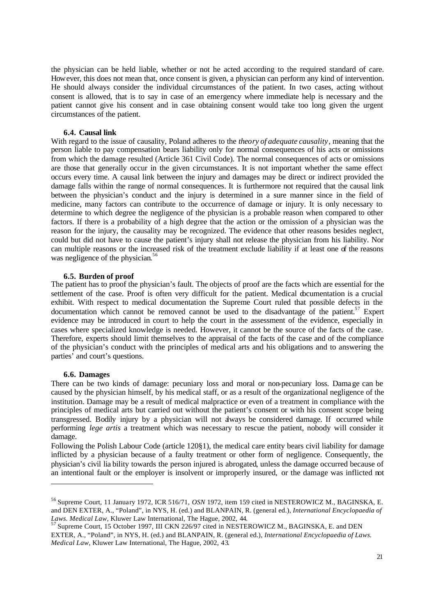the physician can be held liable, whether or not he acted according to the required standard of care. However, this does not mean that, once consent is given, a physician can perform any kind of intervention. He should always consider the individual circumstances of the patient. In two cases, acting without consent is allowed, that is to say in case of an emergency where immediate help is necessary and the patient cannot give his consent and in case obtaining consent would take too long given the urgent circumstances of the patient.

#### **6.4. Causal link**

With regard to the issue of causality, Poland adheres to the *theory of adequate causality*, meaning that the person liable to pay compensation bears liability only for normal consequences of his acts or omissions from which the damage resulted (Article 361 Civil Code). The normal consequences of acts or omissions are those that generally occur in the given circumstances. It is not important whether the same effect occurs every time. A causal link between the injury and damages may be direct or indirect provided the damage falls within the range of normal consequences. It is furthermore not required that the causal link between the physician's conduct and the injury is determined in a sure manner since in the field of medicine, many factors can contribute to the occurrence of damage or injury. It is only necessary to determine to which degree the negligence of the physician is a probable reason when compared to other factors. If there is a probability of a high degree that the action or the omission of a physician was the reason for the injury, the causality may be recognized. The evidence that other reasons besides neglect, could but did not have to cause the patient's injury shall not release the physician from his liability. Nor can multiple reasons or the increased risk of the treatment exclude liability if at least one of the reasons was negligence of the physician.<sup>56</sup>

#### **6.5. Burden of proof**

The patient has to proof the physician's fault. The objects of proof are the facts which are essential for the settlement of the case. Proof is often very difficult for the patient. Medical documentation is a crucial exhibit. With respect to medical documentation the Supreme Court ruled that possible defects in the documentation which cannot be removed cannot be used to the disadvantage of the patient.<sup>57</sup> Expert evidence may be introduced in court to help the court in the assessment of the evidence, especially in cases where specialized knowledge is needed. However, it cannot be the source of the facts of the case. Therefore, experts should limit themselves to the appraisal of the facts of the case and of the compliance of the physician's conduct with the principles of medical arts and his obligations and to answering the parties' and court's questions.

#### **6.6. Damages**

There can be two kinds of damage: pecuniary loss and moral or non-pecuniary loss. Damage can be caused by the physician himself, by his medical staff, or as a result of the organizational negligence of the institution. Damage may be a result of medical malpractice or even of a treatment in compliance with the principles of medical arts but carried out without the patient's consent or with his consent scope being transgressed. Bodily injury by a physician will not always be considered damage. If occurred while performing *lege artis* a treatment which was necessary to rescue the patient, nobody will consider it damage.

Following the Polish Labour Code (article 120§1), the medical care entity bears civil liability for damage inflicted by a physician because of a faulty treatment or other form of negligence. Consequently, the physician's civil lia bility towards the person injured is abrogated, unless the damage occurred because of an intentional fault or the employer is insolvent or improperly insured, or the damage was inflicted not

<sup>56</sup> Supreme Court, 11 January 1972, ICR 516/71, *OSN* 1972, item 159 cited in NESTEROWICZ M., BAGINSKA, E. and DEN EXTER, A., "Poland", in NYS, H. (ed.) and BLANPAIN, R. (general ed.), *International Encyclopaedia of Laws. Medical Law*, Kluwer Law International, The Hague, 2002, 44.

<sup>&</sup>lt;sup>57</sup> Supreme Court, 15 October 1997, III CKN 226/97 cited in NESTEROWICZ M., BAGINSKA, E. and DEN EXTER, A., "Poland", in NYS, H. (ed.) and BLANPAIN, R. (general ed.), *International Encyclopaedia of Laws. Medical Law*, Kluwer Law International, The Hague, 2002, 43.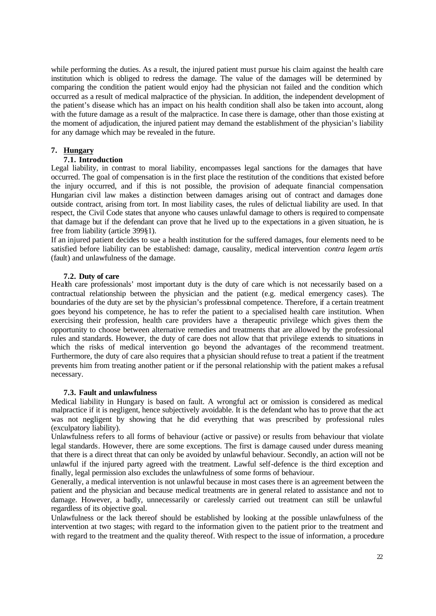while performing the duties. As a result, the injured patient must pursue his claim against the health care institution which is obliged to redress the damage. The value of the damages will be determined by comparing the condition the patient would enjoy had the physician not failed and the condition which occurred as a result of medical malpractice of the physician. In addition, the independent development of the patient's disease which has an impact on his health condition shall also be taken into account, along with the future damage as a result of the malpractice. In case there is damage, other than those existing at the moment of adjudication, the injured patient may demand the establishment of the physician's liability for any damage which may be revealed in the future.

## **7. Hungary**

### **7.1. Introduction**

Legal liability, in contrast to moral liability, encompasses legal sanctions for the damages that have occurred. The goal of compensation is in the first place the restitution of the conditions that existed before the injury occurred, and if this is not possible, the provision of adequate financial compensation. Hungarian civil law makes a distinction between damages arising out of contract and damages done outside contract, arising from tort. In most liability cases, the rules of delictual liability are used. In that respect, the Civil Code states that anyone who causes unlawful damage to others is required to compensate that damage but if the defendant can prove that he lived up to the expectations in a given situation, he is free from liability (article 399§1).

If an injured patient decides to sue a health institution for the suffered damages, four elements need to be satisfied before liability can be established: damage, causality, medical intervention *contra legem artis*  (fault) and unlawfulness of the damage.

## **7.2. Duty of care**

Health care professionals' most important duty is the duty of care which is not necessarily based on a contractual relationship between the physician and the patient (e.g. medical emergency cases). The boundaries of the duty are set by the physician's professional competence. Therefore, if a certain treatment goes beyond his competence, he has to refer the patient to a specialised health care institution. When exercising their profession, health care providers have a therapeutic privilege which gives them the opportunity to choose between alternative remedies and treatments that are allowed by the professional rules and standards. However, the duty of care does not allow that that privilege extends to situations in which the risks of medical intervention go beyond the advantages of the recommend treatment. Furthermore, the duty of care also requires that a physician should refuse to treat a patient if the treatment prevents him from treating another patient or if the personal relationship with the patient makes a refusal necessary.

### **7.3. Fault and unlawfulness**

Medical liability in Hungary is based on fault. A wrongful act or omission is considered as medical malpractice if it is negligent, hence subjectively avoidable. It is the defendant who has to prove that the act was not negligent by showing that he did everything that was prescribed by professional rules (exculpatory liability).

Unlawfulness refers to all forms of behaviour (active or passive) or results from behaviour that violate legal standards. However, there are some exceptions. The first is damage caused under duress meaning that there is a direct threat that can only be avoided by unlawful behaviour. Secondly, an action will not be unlawful if the injured party agreed with the treatment. Lawful self-defence is the third exception and finally, legal permission also excludes the unlawfulness of some forms of behaviour.

Generally, a medical intervention is not unlawful because in most cases there is an agreement between the patient and the physician and because medical treatments are in general related to assistance and not to damage. However, a badly, unnecessarily or carelessly carried out treatment can still be unlawful regardless of its objective goal.

Unlawfulness or the lack thereof should be established by looking at the possible unlawfulness of the intervention at two stages; with regard to the information given to the patient prior to the treatment and with regard to the treatment and the quality thereof. With respect to the issue of information, a procedure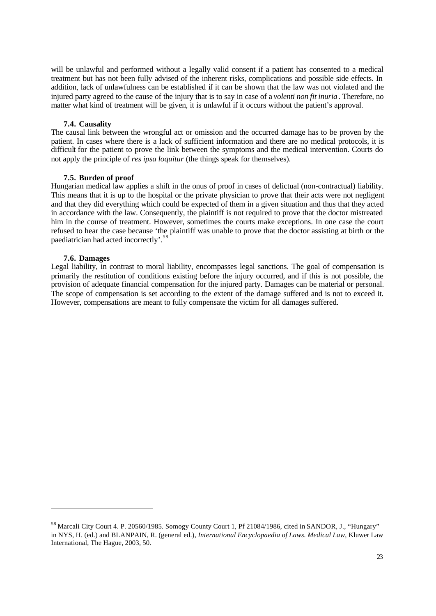will be unlawful and performed without a legally valid consent if a patient has consented to a medical treatment but has not been fully advised of the inherent risks, complications and possible side effects. In addition, lack of unlawfulness can be established if it can be shown that the law was not violated and the injured party agreed to the cause of the injury that is to say in case of a *volenti non fit inuria* . Therefore, no matter what kind of treatment will be given, it is unlawful if it occurs without the patient's approval.

#### **7.4. Causality**

The causal link between the wrongful act or omission and the occurred damage has to be proven by the patient. In cases where there is a lack of sufficient information and there are no medical protocols, it is difficult for the patient to prove the link between the symptoms and the medical intervention. Courts do not apply the principle of *res ipsa loquitur* (the things speak for themselves).

#### **7.5. Burden of proof**

Hungarian medical law applies a shift in the onus of proof in cases of delictual (non-contractual) liability. This means that it is up to the hospital or the private physician to prove that their acts were not negligent and that they did everything which could be expected of them in a given situation and thus that they acted in accordance with the law. Consequently, the plaintiff is not required to prove that the doctor mistreated him in the course of treatment. However, sometimes the courts make exceptions. In one case the court refused to hear the case because 'the plaintiff was unable to prove that the doctor assisting at birth or the paediatrician had acted incorrectly'.<sup>5</sup>

#### **7.6. Damages**

Legal liability, in contrast to moral liability, encompasses legal sanctions. The goal of compensation is primarily the restitution of conditions existing before the injury occurred, and if this is not possible, the provision of adequate financial compensation for the injured party. Damages can be material or personal. The scope of compensation is set according to the extent of the damage suffered and is not to exceed it. However, compensations are meant to fully compensate the victim for all damages suffered.

<sup>&</sup>lt;sup>58</sup> Marcali City Court 4. P. 20560/1985. Somogy County Court 1, Pf 21084/1986, cited in SANDOR, J., "Hungary" in NYS, H. (ed.) and BLANPAIN, R. (general ed.), *International Encyclopaedia of Laws. Medical Law*, Kluwer Law International, The Hague, 2003, 50.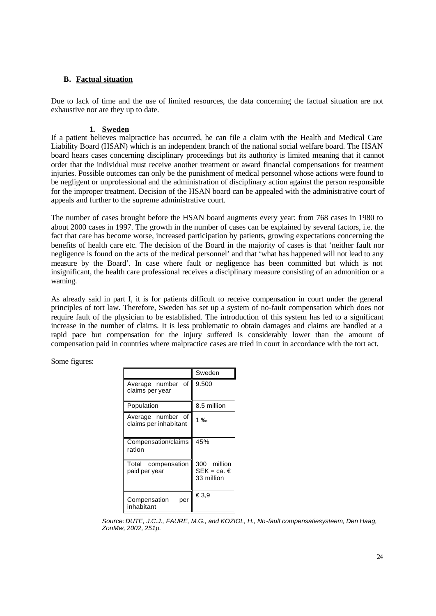# **B. Factual situation**

Due to lack of time and the use of limited resources, the data concerning the factual situation are not exhaustive nor are they up to date.

# **1. Sweden**

If a patient believes malpractice has occurred, he can file a claim with the Health and Medical Care Liability Board (HSAN) which is an independent branch of the national social welfare board. The HSAN board hears cases concerning disciplinary proceedings but its authority is limited meaning that it cannot order that the individual must receive another treatment or award financial compensations for treatment injuries. Possible outcomes can only be the punishment of medical personnel whose actions were found to be negligent or unprofessional and the administration of disciplinary action against the person responsible for the improper treatment. Decision of the HSAN board can be appealed with the administrative court of appeals and further to the supreme administrative court.

The number of cases brought before the HSAN board augments every year: from 768 cases in 1980 to about 2000 cases in 1997. The growth in the number of cases can be explained by several factors, i.e. the fact that care has become worse, increased participation by patients, growing expectations concerning the benefits of health care etc. The decision of the Board in the majority of cases is that 'neither fault nor negligence is found on the acts of the medical personnel' and that 'what has happened will not lead to any measure by the Board'. In case where fault or negligence has been committed but which is not insignificant, the health care professional receives a disciplinary measure consisting of an admonition or a warning.

As already said in part I, it is for patients difficult to receive compensation in court under the general principles of tort law. Therefore, Sweden has set up a system of no-fault compensation which does not require fault of the physician to be established. The introduction of this system has led to a significant increase in the number of claims. It is less problematic to obtain damages and claims are handled at a rapid pace but compensation for the injury suffered is considerably lower than the amount of compensation paid in countries where malpractice cases are tried in court in accordance with the tort act.

Some figures:

|                                            | Sweden                                   |  |
|--------------------------------------------|------------------------------------------|--|
| of<br>Average number<br>claims per year    | 9.500                                    |  |
| Population                                 | 8.5 million                              |  |
| Average number of<br>claims per inhabitant | 1 $\%$                                   |  |
| Compensation/claims<br>ration              | 45%                                      |  |
| Total<br>compensation<br>paid per year     | 300 million<br>SEK = ca. €<br>33 million |  |
| Compensation<br>per<br>inhabitant          | €3,9                                     |  |

*Source: DUTE, J.C.J., FAURE, M.G., and KOZIOL, H., No-fault compensatiesysteem, Den Haag, ZonMw, 2002, 251p.*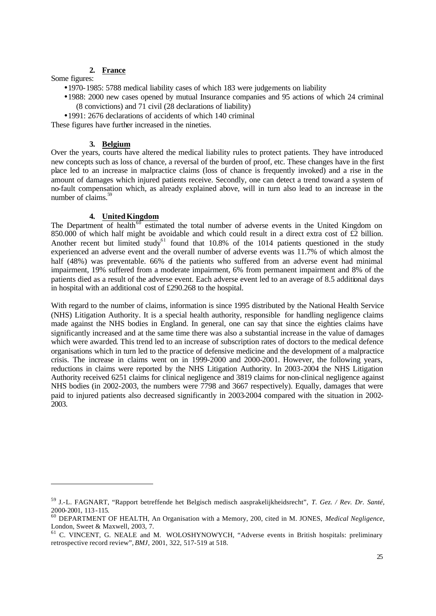# **2. France**

Some figures:

- •1970-1985: 5788 medical liability cases of which 183 were judgements on liability
- •1988: 2000 new cases opened by mutual Insurance companies and 95 actions of which 24 criminal (8 convictions) and 71 civil (28 declarations of liability)
- •1991: 2676 declarations of accidents of which 140 criminal

These figures have further increased in the nineties.

## **3. Belgium**

Over the years, courts have altered the medical liability rules to protect patients. They have introduced new concepts such as loss of chance, a reversal of the burden of proof, etc. These changes have in the first place led to an increase in malpractice claims (loss of chance is frequently invoked) and a rise in the amount of damages which injured patients receive. Secondly, one can detect a trend toward a system of no-fault compensation which, as already explained above, will in turn also lead to an increase in the number of claims. $59$ 

# **4. United Kingdom**

The Department of health<sup>60</sup> estimated the total number of adverse events in the United Kingdom on 850.000 of which half might be avoidable and which could result in a direct extra cost of  $\hat{\epsilon}2$  billion. Another recent but limited study<sup>61</sup> found that  $10.8\%$  of the 1014 patients questioned in the study experienced an adverse event and the overall number of adverse events was 11.7% of which almost the half (48%) was preventable. 66% of the patients who suffered from an adverse event had minimal impairment, 19% suffered from a moderate impairment, 6% from permanent impairment and 8% of the patients died as a result of the adverse event. Each adverse event led to an average of 8.5 additional days in hospital with an additional cost of £290.268 to the hospital.

With regard to the number of claims, information is since 1995 distributed by the National Health Service (NHS) Litigation Authority. It is a special health authority, responsible for handling negligence claims made against the NHS bodies in England. In general, one can say that since the eighties claims have significantly increased and at the same time there was also a substantial increase in the value of damages which were awarded. This trend led to an increase of subscription rates of doctors to the medical defence organisations which in turn led to the practice of defensive medicine and the development of a malpractice crisis. The increase in claims went on in 1999-2000 and 2000-2001. However, the following years, reductions in claims were reported by the NHS Litigation Authority. In 2003-2004 the NHS Litigation Authority received 6251 claims for clinical negligence and 3819 claims for non-clinical negligence against NHS bodies (in 2002-2003, the numbers were 7798 and 3667 respectively). Equally, damages that were paid to injured patients also decreased significantly in 2003-2004 compared with the situation in 2002- 2003.

<sup>59</sup> J.-L. FAGNART, "Rapport betreffende het Belgisch medisch aasprakelijkheidsrecht", *T. Gez. / Rev. Dr. Santé,* 2000-2001, 113 -115.

<sup>60</sup> DEPARTMENT OF HEALTH, An Organisation with a Memory, 200, cited in M. JONES, *Medical Negligence*, London, Sweet & Maxwell, 2003, 7.

<sup>&</sup>lt;sup>61</sup> C. VINCENT, G. NEALE and M. WOLOSHYNOWYCH, "Adverse events in British hospitals: preliminary retrospective record review", *BMJ*, 2001, 322, 517-519 at 518.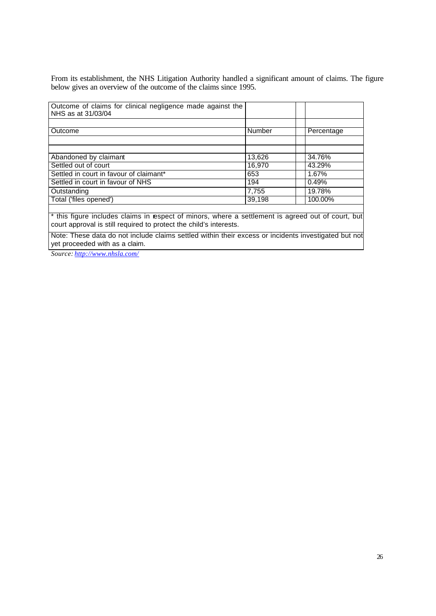From its establishment, the NHS Litigation Authority handled a significant amount of claims. The figure below gives an overview of the outcome of the claims since 1995.

| Outcome of claims for clinical negligence made against the<br>NHS as at 31/03/04 |        |            |
|----------------------------------------------------------------------------------|--------|------------|
|                                                                                  |        |            |
| <b>Outcome</b>                                                                   | Number | Percentage |
|                                                                                  |        |            |
|                                                                                  |        |            |
| Abandoned by claimant                                                            | 13,626 | 34.76%     |
| Settled out of court                                                             | 16,970 | 43.29%     |
| Settled in court in favour of claimant*                                          | 653    | 1.67%      |
| Settled in court in favour of NHS                                                | 194    | 0.49%      |
| Outstanding                                                                      | 7,755  | 19.78%     |
| Total ('files opened')                                                           | 39,198 | 100.00%    |
|                                                                                  |        |            |

\* this figure includes claims in respect of minors, where a settlement is agreed out of court, but court approval is still required to protect the child's interests.

Note: These data do not include claims settled within their excess or incidents investigated but not yet proceeded with as a claim.

*Source: http://www.nhsla.com/*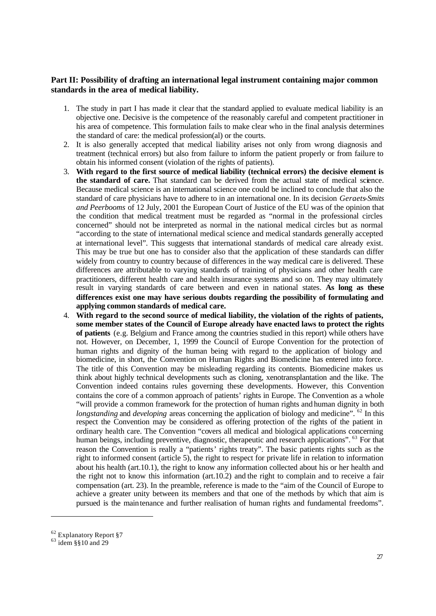# **Part II: Possibility of drafting an international legal instrument containing major common standards in the area of medical liability.**

- 1. The study in part I has made it clear that the standard applied to evaluate medical liability is an objective one. Decisive is the competence of the reasonably careful and competent practitioner in his area of competence. This formulation fails to make clear who in the final analysis determines the standard of care: the medical profession(al) or the courts.
- 2. It is also generally accepted that medical liability arises not only from wrong diagnosis and treatment (technical errors) but also from failure to inform the patient properly or from failure to obtain his informed consent (violation of the rights of patients).
- 3. **With regard to the first source of medical liability (technical errors) the decisive element is**  the standard of care. That standard can be derived from the actual state of medical science. Because medical science is an international science one could be inclined to conclude that also the standard of care physicians have to adhere to in an international one. In its decision *Geraets-Smits and Peerbooms* of 12 July, 2001 the European Court of Justice of the EU was of the opinion that the condition that medical treatment must be regarded as "normal in the professional circles concerned" should not be interpreted as normal in the national medical circles but as normal "according to the state of international medical science and medical standards generally accepted at international level". This suggests that international standards of medical care already exist. This may be true but one has to consider also that the application of these standards can differ widely from country to country because of differences in the way medical care is delivered. These differences are attributable to varying standards of training of physicians and other health care practitioners, different health care and health insurance systems and so on. They may ultimately result in varying standards of care between and even in national states. **As long as these differences exist one may have serious doubts regarding the possibility of formulating and applying common standards of medical care.**
- 4. **With regard to the second source of medical liability, the violation of the rights of patients, some member states of the Council of Europe already have enacted laws to protect the rights of patients** (e.g. Belgium and France among the countries studied in this report) while others have not. However, on December, 1, 1999 the Council of Europe Convention for the protection of human rights and dignity of the human being with regard to the application of biology and biomedicine, in short, the Convention on Human Rights and Biomedicine has entered into force. The title of this Convention may be misleading regarding its contents. Biomedicine makes us think about highly technical developments such as cloning, xenotransplantation and the like. The Convention indeed contains rules governing these developments. However, this Convention contains the core of a common approach of patients' rights in Europe. The Convention as a whole "will provide a common framework for the protection of human rights and human dignity in both *longstanding* and *developing* areas concerning the application of biology and medicine". <sup>62</sup> In this respect the Convention may be considered as offering protection of the rights of the patient in ordinary health care. The Convention "covers all medical and biological applications concerning human beings, including preventive, diagnostic, therapeutic and research applications". <sup>63</sup> For that reason the Convention is really a "patients' rights treaty". The basic patients rights such as the right to informed consent (article 5), the right to respect for private life in relation to information about his health (art.10.1), the right to know any information collected about his or her health and the right not to know this information (art.10.2) and the right to complain and to receive a fair compensation (art. 23). In the preamble, reference is made to the "aim of the Council of Europe to achieve a greater unity between its members and that one of the methods by which that aim is pursued is the maintenance and further realisation of human rights and fundamental freedoms".

<sup>&</sup>lt;sup>62</sup> Explanatory Report §7

 $63$  idem §§10 and 29